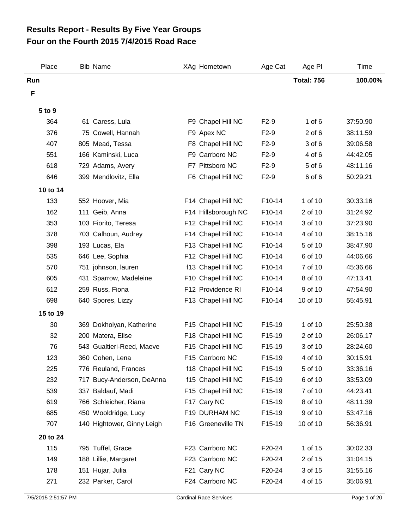## **Four on the Fourth 2015 7/4/2015 Road Race Results Report - Results By Five Year Groups**

| Place    | <b>Bib Name</b>            | XAg Hometown                | Age Cat             | Age PI            | Time     |
|----------|----------------------------|-----------------------------|---------------------|-------------------|----------|
| Run      |                            |                             |                     | <b>Total: 756</b> | 100.00%  |
| F        |                            |                             |                     |                   |          |
| 5 to 9   |                            |                             |                     |                   |          |
| 364      | 61 Caress, Lula            | F9 Chapel Hill NC           | $F2-9$              | $1$ of $6$        | 37:50.90 |
| 376      | 75 Cowell, Hannah          | F9 Apex NC                  | $F2-9$              | $2$ of $6$        | 38:11.59 |
| 407      | 805 Mead, Tessa            | F8 Chapel Hill NC           | $F2-9$              | 3 of 6            | 39:06.58 |
| 551      | 166 Kaminski, Luca         | F9 Carrboro NC              | $F2-9$              | 4 of 6            | 44:42.05 |
| 618      | 729 Adams, Avery           | F7 Pittsboro NC             | $F2-9$              | 5 of 6            | 48:11.16 |
| 646      | 399 Mendlovitz, Ella       | F6 Chapel Hill NC           | $F2-9$              | 6 of 6            | 50:29.21 |
| 10 to 14 |                            |                             |                     |                   |          |
| 133      | 552 Hoover, Mia            | F14 Chapel Hill NC          | F10-14              | 1 of 10           | 30:33.16 |
| 162      | 111 Geib, Anna             | F14 Hillsborough NC         | F10-14              | 2 of 10           | 31:24.92 |
| 353      | 103 Fiorito, Teresa        | F12 Chapel Hill NC          | F10-14              | 3 of 10           | 37:23.90 |
| 378      | 703 Calhoun, Audrey        | F14 Chapel Hill NC          | F10-14              | 4 of 10           | 38:15.16 |
| 398      | 193 Lucas, Ela             | F13 Chapel Hill NC          | F10-14              | 5 of 10           | 38:47.90 |
| 535      | 646 Lee, Sophia            | F12 Chapel Hill NC          | F10-14              | 6 of 10           | 44:06.66 |
| 570      | 751 johnson, lauren        | f13 Chapel Hill NC          | F10-14              | 7 of 10           | 45:36.66 |
| 605      | 431 Sparrow, Madeleine     | F10 Chapel Hill NC          | F10-14              | 8 of 10           | 47:13.41 |
| 612      | 259 Russ, Fiona            | F12 Providence RI           | F10-14              | 9 of 10           | 47:54.90 |
| 698      | 640 Spores, Lizzy          | F13 Chapel Hill NC          | F10-14              | 10 of 10          | 55:45.91 |
| 15 to 19 |                            |                             |                     |                   |          |
| 30       | 369 Dokholyan, Katherine   | F15 Chapel Hill NC          | F15-19              | 1 of 10           | 25:50.38 |
| 32       | 200 Matera, Elise          | F18 Chapel Hill NC          | F15-19              | 2 of 10           | 26:06.17 |
| 76       | 543 Gualtieri-Reed, Maeve  | F15 Chapel Hill NC          | F15-19              | 3 of 10           | 28:24.60 |
| 123      | 360 Cohen, Lena            | F <sub>15</sub> Carrboro NC | F <sub>15</sub> -19 | 4 of 10           | 30:15.91 |
| 225      | 776 Reuland, Frances       | f18 Chapel Hill NC          | F15-19              | 5 of 10           | 33:36.16 |
| 232      | 717 Bucy-Anderson, DeAnna  | f15 Chapel Hill NC          | F15-19              | 6 of 10           | 33:53.09 |
| 539      | 337 Baldauf, Madi          | F15 Chapel Hill NC          | F15-19              | 7 of 10           | 44:23.41 |
| 619      | 766 Schleicher, Riana      | F17 Cary NC                 | F15-19              | 8 of 10           | 48:11.39 |
| 685      | 450 Wooldridge, Lucy       | F19 DURHAM NC               | F15-19              | 9 of 10           | 53:47.16 |
| 707      | 140 Hightower, Ginny Leigh | F16 Greeneville TN          | F15-19              | 10 of 10          | 56:36.91 |
| 20 to 24 |                            |                             |                     |                   |          |
| 115      | 795 Tuffel, Grace          | F23 Carrboro NC             | F20-24              | 1 of 15           | 30:02.33 |
| 149      | 188 Lillie, Margaret       | F23 Carrboro NC             | F20-24              | 2 of 15           | 31:04.15 |
| 178      | 151 Hujar, Julia           | F21 Cary NC                 | F20-24              | 3 of 15           | 31:55.16 |
| 271      | 232 Parker, Carol          | F24 Carrboro NC             | F20-24              | 4 of 15           | 35:06.91 |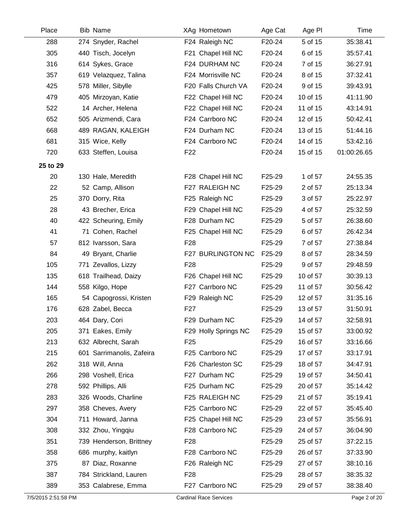| Place               | Bib Name                  | XAg Hometown                  | Age Cat | Age PI   | Time         |
|---------------------|---------------------------|-------------------------------|---------|----------|--------------|
| 288                 | 274 Snyder, Rachel        | F24 Raleigh NC                | F20-24  | 5 of 15  | 35:38.41     |
| 305                 | 440 Tisch, Jocelyn        | F21 Chapel Hill NC            | F20-24  | 6 of 15  | 35:57.41     |
| 316                 | 614 Sykes, Grace          | F24 DURHAM NC                 | F20-24  | 7 of 15  | 36:27.91     |
| 357                 | 619 Velazquez, Talina     | F24 Morrisville NC            | F20-24  | 8 of 15  | 37:32.41     |
| 425                 | 578 Miller, Sibylle       | F20 Falls Church VA           | F20-24  | 9 of 15  | 39:43.91     |
| 479                 | 405 Mirzoyan, Katie       | F22 Chapel Hill NC            | F20-24  | 10 of 15 | 41:11.90     |
| 522                 | 14 Archer, Helena         | F22 Chapel Hill NC            | F20-24  | 11 of 15 | 43:14.91     |
| 652                 | 505 Arizmendi, Cara       | F24 Carrboro NC               | F20-24  | 12 of 15 | 50:42.41     |
| 668                 | 489 RAGAN, KALEIGH        | F24 Durham NC                 | F20-24  | 13 of 15 | 51:44.16     |
| 681                 | 315 Wice, Kelly           | F24 Carrboro NC               | F20-24  | 14 of 15 | 53:42.16     |
| 720                 | 633 Steffen, Louisa       | F <sub>22</sub>               | F20-24  | 15 of 15 | 01:00:26.65  |
| 25 to 29            |                           |                               |         |          |              |
| 20                  | 130 Hale, Meredith        | F28 Chapel Hill NC            | F25-29  | 1 of 57  | 24:55.35     |
| 22                  | 52 Camp, Allison          | F27 RALEIGH NC                | F25-29  | 2 of 57  | 25:13.34     |
| 25                  | 370 Dorry, Rita           | F25 Raleigh NC                | F25-29  | 3 of 57  | 25:22.97     |
| 28                  | 43 Brecher, Erica         | F29 Chapel Hill NC            | F25-29  | 4 of 57  | 25:32.59     |
| 40                  | 422 Scheuring, Emily      | F28 Durham NC                 | F25-29  | 5 of 57  | 26:38.60     |
| 41                  | 71 Cohen, Rachel          | F25 Chapel Hill NC            | F25-29  | 6 of 57  | 26:42.34     |
| 57                  | 812 Ivarsson, Sara        | F <sub>28</sub>               | F25-29  | 7 of 57  | 27:38.84     |
| 84                  | 49 Bryant, Charlie        | F27 BURLINGTON NC             | F25-29  | 8 of 57  | 28:34.59     |
| 105                 | 771 Zevallos, Lizzy       | F <sub>28</sub>               | F25-29  | 9 of 57  | 29:48.59     |
| 135                 | 618 Trailhead, Daizy      | F26 Chapel Hill NC            | F25-29  | 10 of 57 | 30:39.13     |
| 144                 | 558 Kilgo, Hope           | F27 Carrboro NC               | F25-29  | 11 of 57 | 30:56.42     |
| 165                 | 54 Capogrossi, Kristen    | F29 Raleigh NC                | F25-29  | 12 of 57 | 31:35.16     |
| 176                 | 628 Zabel, Becca          | F <sub>27</sub>               | F25-29  | 13 of 57 | 31:50.91     |
| 203                 | 464 Dary, Cori            | F29 Durham NC                 | F25-29  | 14 of 57 | 32:58.91     |
| 205                 | 371 Eakes, Emily          | F29 Holly Springs NC          | F25-29  | 15 of 57 | 33:00.92     |
| 213                 | 632 Albrecht, Sarah       | F <sub>25</sub>               | F25-29  | 16 of 57 | 33:16.66     |
| 215                 | 601 Sarrimanolis, Zafeira | F25 Carrboro NC               | F25-29  | 17 of 57 | 33:17.91     |
| 262                 | 318 Will, Anna            | F26 Charleston SC             | F25-29  | 18 of 57 | 34:47.91     |
| 266                 | 298 Voshell, Erica        | F27 Durham NC                 | F25-29  | 19 of 57 | 34:50.41     |
| 278                 | 592 Phillips, Alli        | F25 Durham NC                 | F25-29  | 20 of 57 | 35:14.42     |
| 283                 | 326 Woods, Charline       | F25 RALEIGH NC                | F25-29  | 21 of 57 | 35:19.41     |
| 297                 | 358 Cheves, Avery         | F25 Carrboro NC               | F25-29  | 22 of 57 | 35:45.40     |
| 304                 | 711 Howard, Janna         | F25 Chapel Hill NC            | F25-29  | 23 of 57 | 35:56.91     |
| 308                 | 332 Zhou, Yingqiu         | F28 Carrboro NC               | F25-29  | 24 of 57 | 36:04.90     |
| 351                 | 739 Henderson, Brittney   | F <sub>28</sub>               | F25-29  | 25 of 57 | 37:22.15     |
| 358                 | 686 murphy, kaitlyn       | F28 Carrboro NC               | F25-29  | 26 of 57 | 37:33.90     |
| 375                 | 87 Diaz, Roxanne          | F26 Raleigh NC                | F25-29  | 27 of 57 | 38:10.16     |
| 387                 | 784 Strickland, Lauren    | F <sub>28</sub>               | F25-29  | 28 of 57 | 38:35.32     |
| 389                 | 353 Calabrese, Emma       | F27 Carrboro NC               | F25-29  | 29 of 57 | 38:38.40     |
| 7/5/2015 2:51:58 PM |                           | <b>Cardinal Race Services</b> |         |          | Page 2 of 20 |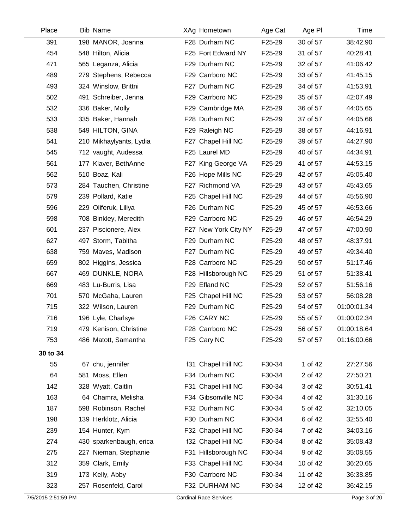| Place    | Bib Name                | XAg Hometown         | Age Cat | Age PI   | Time        |
|----------|-------------------------|----------------------|---------|----------|-------------|
| 391      | 198 MANOR, Joanna       | F28 Durham NC        | F25-29  | 30 of 57 | 38:42.90    |
| 454      | 548 Hilton, Alicia      | F25 Fort Edward NY   | F25-29  | 31 of 57 | 40:28.41    |
| 471      | 565 Leganza, Alicia     | F29 Durham NC        | F25-29  | 32 of 57 | 41:06.42    |
| 489      | 279 Stephens, Rebecca   | F29 Carrboro NC      | F25-29  | 33 of 57 | 41:45.15    |
| 493      | 324 Winslow, Brittni    | F27 Durham NC        | F25-29  | 34 of 57 | 41:53.91    |
| 502      | 491 Schreiber, Jenna    | F29 Carrboro NC      | F25-29  | 35 of 57 | 42:07.49    |
| 532      | 336 Baker, Molly        | F29 Cambridge MA     | F25-29  | 36 of 57 | 44:05.65    |
| 533      | 335 Baker, Hannah       | F28 Durham NC        | F25-29  | 37 of 57 | 44:05.66    |
| 538      | 549 HILTON, GINA        | F29 Raleigh NC       | F25-29  | 38 of 57 | 44:16.91    |
| 541      | 210 Mikhaylyants, Lydia | F27 Chapel Hill NC   | F25-29  | 39 of 57 | 44:27.90    |
| 545      | 712 vaught, Audessa     | F25 Laurel MD        | F25-29  | 40 of 57 | 44:34.91    |
| 561      | 177 Klaver, BethAnne    | F27 King George VA   | F25-29  | 41 of 57 | 44:53.15    |
| 562      | 510 Boaz, Kali          | F26 Hope Mills NC    | F25-29  | 42 of 57 | 45:05.40    |
| 573      | 284 Tauchen, Christine  | F27 Richmond VA      | F25-29  | 43 of 57 | 45:43.65    |
| 579      | 239 Pollard, Katie      | F25 Chapel Hill NC   | F25-29  | 44 of 57 | 45:56.90    |
| 596      | 229 Oliferuk, Liliya    | F26 Durham NC        | F25-29  | 45 of 57 | 46:53.66    |
| 598      | 708 Binkley, Meredith   | F29 Carrboro NC      | F25-29  | 46 of 57 | 46:54.29    |
| 601      | 237 Piscionere, Alex    | F27 New York City NY | F25-29  | 47 of 57 | 47:00.90    |
| 627      | 497 Storm, Tabitha      | F29 Durham NC        | F25-29  | 48 of 57 | 48:37.91    |
| 638      | 759 Maves, Madison      | F27 Durham NC        | F25-29  | 49 of 57 | 49:34.40    |
| 659      | 802 Higgins, Jessica    | F28 Carrboro NC      | F25-29  | 50 of 57 | 51:17.46    |
| 667      | 469 DUNKLE, NORA        | F28 Hillsborough NC  | F25-29  | 51 of 57 | 51:38.41    |
| 669      | 483 Lu-Burris, Lisa     | F29 Efland NC        | F25-29  | 52 of 57 | 51:56.16    |
| 701      | 570 McGaha, Lauren      | F25 Chapel Hill NC   | F25-29  | 53 of 57 | 56:08.28    |
| 715      | 322 Wilson, Lauren      | F29 Durham NC        | F25-29  | 54 of 57 | 01:00:01.34 |
| 716      | 196 Lyle, Charlsye      | F26 CARY NC          | F25-29  | 55 of 57 | 01:00:02.34 |
| 719      | 479 Kenison, Christine  | F28 Carrboro NC      | F25-29  | 56 of 57 | 01:00:18.64 |
| 753      | 486 Matott, Samantha    | F25 Cary NC          | F25-29  | 57 of 57 | 01:16:00.66 |
| 30 to 34 |                         |                      |         |          |             |
| 55       | 67 chu, jennifer        | f31 Chapel Hill NC   | F30-34  | 1 of 42  | 27:27.56    |
| 64       | 581 Moss, Ellen         | F34 Durham NC        | F30-34  | 2 of 42  | 27:50.21    |
| 142      | 328 Wyatt, Caitlin      | F31 Chapel Hill NC   | F30-34  | 3 of 42  | 30:51.41    |
| 163      | 64 Chamra, Melisha      | F34 Gibsonville NC   | F30-34  | 4 of 42  | 31:30.16    |
| 187      | 598 Robinson, Rachel    | F32 Durham NC        | F30-34  | 5 of 42  | 32:10.05    |
| 198      | 139 Herklotz, Alicia    | F30 Durham NC        | F30-34  | 6 of 42  | 32:55.40    |
| 239      | 154 Hunter, Kym         | F32 Chapel Hill NC   | F30-34  | 7 of 42  | 34:03.16    |
| 274      | 430 sparkenbaugh, erica | f32 Chapel Hill NC   | F30-34  | 8 of 42  | 35:08.43    |
| 275      | 227 Nieman, Stephanie   | F31 Hillsborough NC  | F30-34  | 9 of 42  | 35:08.55    |
| 312      | 359 Clark, Emily        | F33 Chapel Hill NC   | F30-34  | 10 of 42 | 36:20.65    |
| 319      | 173 Kelly, Abby         | F30 Carrboro NC      | F30-34  | 11 of 42 | 36:38.85    |
| 323      | 257 Rosenfeld, Carol    | F32 DURHAM NC        | F30-34  | 12 of 42 | 36:42.15    |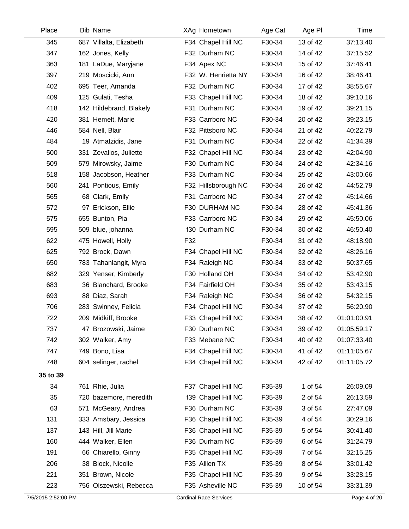| Place    | <b>Bib Name</b>         | XAg Hometown        | Age Cat | Age PI   | Time        |
|----------|-------------------------|---------------------|---------|----------|-------------|
| 345      | 687 Villalta, Elizabeth | F34 Chapel Hill NC  | F30-34  | 13 of 42 | 37:13.40    |
| 347      | 162 Jones, Kelly        | F32 Durham NC       | F30-34  | 14 of 42 | 37:15.52    |
| 363      | 181 LaDue, Maryjane     | F34 Apex NC         | F30-34  | 15 of 42 | 37:46.41    |
| 397      | 219 Moscicki, Ann       | F32 W. Henrietta NY | F30-34  | 16 of 42 | 38:46.41    |
| 402      | 695 Teer, Amanda        | F32 Durham NC       | F30-34  | 17 of 42 | 38:55.67    |
| 409      | 125 Gulati, Tesha       | F33 Chapel Hill NC  | F30-34  | 18 of 42 | 39:10.16    |
| 418      | 142 Hildebrand, Blakely | F31 Durham NC       | F30-34  | 19 of 42 | 39:21.15    |
| 420      | 381 Hemelt, Marie       | F33 Carrboro NC     | F30-34  | 20 of 42 | 39:23.15    |
| 446      | 584 Nell, Blair         | F32 Pittsboro NC    | F30-34  | 21 of 42 | 40:22.79    |
| 484      | 19 Atmatzidis, Jane     | F31 Durham NC       | F30-34  | 22 of 42 | 41:34.39    |
| 500      | 331 Zevallos, Juliette  | F32 Chapel Hill NC  | F30-34  | 23 of 42 | 42:04.90    |
| 509      | 579 Mirowsky, Jaime     | F30 Durham NC       | F30-34  | 24 of 42 | 42:34.16    |
| 518      | 158 Jacobson, Heather   | F33 Durham NC       | F30-34  | 25 of 42 | 43:00.66    |
| 560      | 241 Pontious, Emily     | F32 Hillsborough NC | F30-34  | 26 of 42 | 44:52.79    |
| 565      | 68 Clark, Emily         | F31 Carrboro NC     | F30-34  | 27 of 42 | 45:14.66    |
| 572      | 97 Erickson, Ellie      | F30 DURHAM NC       | F30-34  | 28 of 42 | 45:41.36    |
| 575      | 655 Bunton, Pia         | F33 Carrboro NC     | F30-34  | 29 of 42 | 45:50.06    |
| 595      | 509 blue, johanna       | f30 Durham NC       | F30-34  | 30 of 42 | 46:50.40    |
| 622      | 475 Howell, Holly       | F32                 | F30-34  | 31 of 42 | 48:18.90    |
| 625      | 792 Brock, Dawn         | F34 Chapel Hill NC  | F30-34  | 32 of 42 | 48:26.16    |
| 650      | 783 Tahanlangit, Myra   | F34 Raleigh NC      | F30-34  | 33 of 42 | 50:37.65    |
| 682      | 329 Yenser, Kimberly    | F30 Holland OH      | F30-34  | 34 of 42 | 53:42.90    |
| 683      | 36 Blanchard, Brooke    | F34 Fairfield OH    | F30-34  | 35 of 42 | 53:43.15    |
| 693      | 88 Diaz, Sarah          | F34 Raleigh NC      | F30-34  | 36 of 42 | 54:32.15    |
| 706      | 283 Swinney, Felicia    | F34 Chapel Hill NC  | F30-34  | 37 of 42 | 56:20.90    |
| 722      | 209 Midkiff, Brooke     | F33 Chapel Hill NC  | F30-34  | 38 of 42 | 01:01:00.91 |
| 737      | 47 Brozowski, Jaime     | F30 Durham NC       | F30-34  | 39 of 42 | 01:05:59.17 |
| 742      | 302 Walker, Amy         | F33 Mebane NC       | F30-34  | 40 of 42 | 01:07:33.40 |
| 747      | 749 Bono, Lisa          | F34 Chapel Hill NC  | F30-34  | 41 of 42 | 01:11:05.67 |
| 748      | 604 selinger, rachel    | F34 Chapel Hill NC  | F30-34  | 42 of 42 | 01:11:05.72 |
| 35 to 39 |                         |                     |         |          |             |
| 34       | 761 Rhie, Julia         | F37 Chapel Hill NC  | F35-39  | 1 of 54  | 26:09.09    |
| 35       | 720 bazemore, meredith  | f39 Chapel Hill NC  | F35-39  | 2 of 54  | 26:13.59    |
| 63       | 571 McGeary, Andrea     | F36 Durham NC       | F35-39  | 3 of 54  | 27:47.09    |
| 131      | 333 Amsbary, Jessica    | F36 Chapel Hill NC  | F35-39  | 4 of 54  | 30:29.16    |
| 137      | 143 Hill, Jill Marie    | F36 Chapel Hill NC  | F35-39  | 5 of 54  | 30:41.40    |
| 160      | 444 Walker, Ellen       | F36 Durham NC       | F35-39  | 6 of 54  | 31:24.79    |
| 191      | 66 Chiarello, Ginny     | F35 Chapel Hill NC  | F35-39  | 7 of 54  | 32:15.25    |
| 206      | 38 Block, Nicolle       | F35 Alllen TX       | F35-39  | 8 of 54  | 33:01.42    |
| 221      | 351 Brown, Nicole       | F35 Chapel Hill NC  | F35-39  | 9 of 54  | 33:28.15    |
| 223      | 756 Olszewski, Rebecca  | F35 Asheville NC    | F35-39  | 10 of 54 | 33:31.39    |
|          |                         |                     |         |          |             |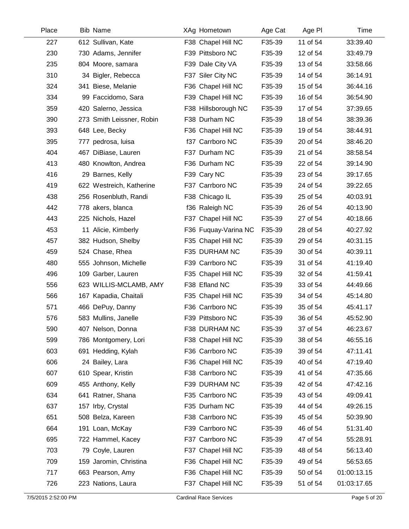| Place | <b>Bib Name</b>           | XAg Hometown         | Age Cat | Age PI   | Time        |
|-------|---------------------------|----------------------|---------|----------|-------------|
| 227   | 612 Sullivan, Kate        | F38 Chapel Hill NC   | F35-39  | 11 of 54 | 33:39.40    |
| 230   | 730 Adams, Jennifer       | F39 Pittsboro NC     | F35-39  | 12 of 54 | 33:49.79    |
| 235   | 804 Moore, samara         | F39 Dale City VA     | F35-39  | 13 of 54 | 33:58.66    |
| 310   | 34 Bigler, Rebecca        | F37 Siler City NC    | F35-39  | 14 of 54 | 36:14.91    |
| 324   | 341 Biese, Melanie        | F36 Chapel Hill NC   | F35-39  | 15 of 54 | 36:44.16    |
| 334   | 99 Faccidomo, Sara        | F39 Chapel Hill NC   | F35-39  | 16 of 54 | 36:54.90    |
| 359   | 420 Salerno, Jessica      | F38 Hillsborough NC  | F35-39  | 17 of 54 | 37:39.65    |
| 390   | 273 Smith Leissner, Robin | F38 Durham NC        | F35-39  | 18 of 54 | 38:39.36    |
| 393   | 648 Lee, Becky            | F36 Chapel Hill NC   | F35-39  | 19 of 54 | 38:44.91    |
| 395   | 777 pedrosa, luisa        | f37 Carrboro NC      | F35-39  | 20 of 54 | 38:46.20    |
| 404   | 467 DiBiase, Lauren       | F37 Durham NC        | F35-39  | 21 of 54 | 38:58.54    |
| 413   | 480 Knowlton, Andrea      | F36 Durham NC        | F35-39  | 22 of 54 | 39:14.90    |
| 416   | 29 Barnes, Kelly          | F39 Cary NC          | F35-39  | 23 of 54 | 39:17.65    |
| 419   | 622 Westreich, Katherine  | F37 Carrboro NC      | F35-39  | 24 of 54 | 39:22.65    |
| 438   | 256 Rosenbluth, Randi     | F38 Chicago IL       | F35-39  | 25 of 54 | 40:03.91    |
| 442   | 778 akers, blanca         | f36 Raleigh NC       | F35-39  | 26 of 54 | 40:13.90    |
| 443   | 225 Nichols, Hazel        | F37 Chapel Hill NC   | F35-39  | 27 of 54 | 40:18.66    |
| 453   | 11 Alicie, Kimberly       | F36 Fuquay-Varina NC | F35-39  | 28 of 54 | 40:27.92    |
| 457   | 382 Hudson, Shelby        | F35 Chapel Hill NC   | F35-39  | 29 of 54 | 40:31.15    |
| 459   | 524 Chase, Rhea           | F35 DURHAM NC        | F35-39  | 30 of 54 | 40:39.11    |
| 480   | 555 Johnson, Michelle     | F39 Carrboro NC      | F35-39  | 31 of 54 | 41:19.40    |
| 496   | 109 Garber, Lauren        | F35 Chapel Hill NC   | F35-39  | 32 of 54 | 41:59.41    |
| 556   | 623 WILLIS-MCLAMB, AMY    | F38 Efland NC        | F35-39  | 33 of 54 | 44:49.66    |
| 566   | 167 Kapadia, Chaitali     | F35 Chapel Hill NC   | F35-39  | 34 of 54 | 45:14.80    |
| 571   | 466 DePuy, Danny          | F36 Carrboro NC      | F35-39  | 35 of 54 | 45:41.17    |
| 576   | 583 Mullins, Janelle      | F39 Pittsboro NC     | F35-39  | 36 of 54 | 45:52.90    |
| 590   | 407 Nelson, Donna         | F38 DURHAM NC        | F35-39  | 37 of 54 | 46:23.67    |
| 599   | 786 Montgomery, Lori      | F38 Chapel Hill NC   | F35-39  | 38 of 54 | 46:55.16    |
| 603   | 691 Hedding, Kylah        | F36 Carrboro NC      | F35-39  | 39 of 54 | 47:11.41    |
| 606   | 24 Bailey, Lara           | F36 Chapel Hill NC   | F35-39  | 40 of 54 | 47:19.40    |
| 607   | 610 Spear, Kristin        | F38 Carrboro NC      | F35-39  | 41 of 54 | 47:35.66    |
| 609   | 455 Anthony, Kelly        | F39 DURHAM NC        | F35-39  | 42 of 54 | 47:42.16    |
| 634   | 641 Ratner, Shana         | F35 Carrboro NC      | F35-39  | 43 of 54 | 49:09.41    |
| 637   | 157 Irby, Crystal         | F35 Durham NC        | F35-39  | 44 of 54 | 49:26.15    |
| 651   | 508 Belza, Kareen         | F38 Carrboro NC      | F35-39  | 45 of 54 | 50:39.90    |
| 664   | 191 Loan, McKay           | F39 Carrboro NC      | F35-39  | 46 of 54 | 51:31.40    |
| 695   | 722 Hammel, Kacey         | F37 Carrboro NC      | F35-39  | 47 of 54 | 55:28.91    |
| 703   | 79 Coyle, Lauren          | F37 Chapel Hill NC   | F35-39  | 48 of 54 | 56:13.40    |
| 709   | 159 Jaromin, Christina    | F36 Chapel Hill NC   | F35-39  | 49 of 54 | 56:53.65    |
| 717   | 663 Pearson, Amy          | F36 Chapel Hill NC   | F35-39  | 50 of 54 | 01:00:13.15 |
| 726   | 223 Nations, Laura        | F37 Chapel Hill NC   | F35-39  | 51 of 54 | 01:03:17.65 |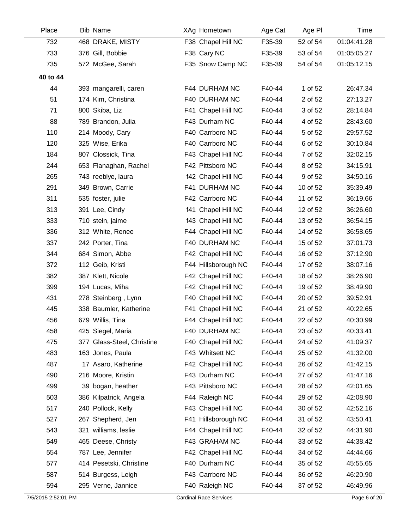| Place    | <b>Bib Name</b>            | XAg Hometown        | Age Cat | Age PI   | Time        |
|----------|----------------------------|---------------------|---------|----------|-------------|
| 732      | 468 DRAKE, MISTY           | F38 Chapel Hill NC  | F35-39  | 52 of 54 | 01:04:41.28 |
| 733      | 376 Gill, Bobbie           | F38 Cary NC         | F35-39  | 53 of 54 | 01:05:05.27 |
| 735      | 572 McGee, Sarah           | F35 Snow Camp NC    | F35-39  | 54 of 54 | 01:05:12.15 |
| 40 to 44 |                            |                     |         |          |             |
| 44       | 393 mangarelli, caren      | F44 DURHAM NC       | F40-44  | 1 of 52  | 26:47.34    |
| 51       | 174 Kim, Christina         | F40 DURHAM NC       | F40-44  | 2 of 52  | 27:13.27    |
| 71       | 800 Skiba, Liz             | F41 Chapel Hill NC  | F40-44  | 3 of 52  | 28:14.84    |
| 88       | 789 Brandon, Julia         | F43 Durham NC       | F40-44  | 4 of 52  | 28:43.60    |
| 110      | 214 Moody, Cary            | F40 Carrboro NC     | F40-44  | 5 of 52  | 29:57.52    |
| 120      | 325 Wise, Erika            | F40 Carrboro NC     | F40-44  | 6 of 52  | 30:10.84    |
| 184      | 807 Clossick, Tina         | F43 Chapel Hill NC  | F40-44  | 7 of 52  | 32:02.15    |
| 244      | 653 Flanaghan, Rachel      | F42 Pittsboro NC    | F40-44  | 8 of 52  | 34:15.91    |
| 265      | 743 reeblye, laura         | f42 Chapel Hill NC  | F40-44  | 9 of 52  | 34:50.16    |
| 291      | 349 Brown, Carrie          | F41 DURHAM NC       | F40-44  | 10 of 52 | 35:39.49    |
| 311      | 535 foster, julie          | F42 Carrboro NC     | F40-44  | 11 of 52 | 36:19.66    |
| 313      | 391 Lee, Cindy             | f41 Chapel Hill NC  | F40-44  | 12 of 52 | 36:26.60    |
| 333      | 710 stein, jaime           | f43 Chapel Hill NC  | F40-44  | 13 of 52 | 36:54.15    |
| 336      | 312 White, Renee           | F44 Chapel Hill NC  | F40-44  | 14 of 52 | 36:58.65    |
| 337      | 242 Porter, Tina           | F40 DURHAM NC       | F40-44  | 15 of 52 | 37:01.73    |
| 344      | 684 Simon, Abbe            | F42 Chapel Hill NC  | F40-44  | 16 of 52 | 37:12.90    |
| 372      | 112 Geib, Kristi           | F44 Hillsborough NC | F40-44  | 17 of 52 | 38:07.16    |
| 382      | 387 Klett, Nicole          | F42 Chapel Hill NC  | F40-44  | 18 of 52 | 38:26.90    |
| 399      | 194 Lucas, Miha            | F42 Chapel Hill NC  | F40-44  | 19 of 52 | 38:49.90    |
| 431      | 278 Steinberg, Lynn        | F40 Chapel Hill NC  | F40-44  | 20 of 52 | 39:52.91    |
| 445      | 338 Baumler, Katherine     | F41 Chapel Hill NC  | F40-44  | 21 of 52 | 40:22.65    |
| 456      | 679 Willis, Tina           | F44 Chapel Hill NC  | F40-44  | 22 of 52 | 40:30.99    |
| 458      | 425 Siegel, Maria          | F40 DURHAM NC       | F40-44  | 23 of 52 | 40:33.41    |
| 475      | 377 Glass-Steel, Christine | F40 Chapel Hill NC  | F40-44  | 24 of 52 | 41:09.37    |
| 483      | 163 Jones, Paula           | F43 Whitsett NC     | F40-44  | 25 of 52 | 41:32.00    |
| 487      | 17 Asaro, Katherine        | F42 Chapel Hill NC  | F40-44  | 26 of 52 | 41:42.15    |
| 490      | 216 Moore, Kristin         | F43 Durham NC       | F40-44  | 27 of 52 | 41:47.16    |
| 499      | 39 bogan, heather          | F43 Pittsboro NC    | F40-44  | 28 of 52 | 42:01.65    |
| 503      | 386 Kilpatrick, Angela     | F44 Raleigh NC      | F40-44  | 29 of 52 | 42:08.90    |
| 517      | 240 Pollock, Kelly         | F43 Chapel Hill NC  | F40-44  | 30 of 52 | 42:52.16    |
| 527      | 267 Shepherd, Jen          | F41 Hillsborough NC | F40-44  | 31 of 52 | 43:50.41    |
| 543      | 321 williams, leslie       | F44 Chapel Hill NC  | F40-44  | 32 of 52 | 44:31.90    |
| 549      | 465 Deese, Christy         | F43 GRAHAM NC       | F40-44  | 33 of 52 | 44:38.42    |
| 554      | 787 Lee, Jennifer          | F42 Chapel Hill NC  | F40-44  | 34 of 52 | 44:44.66    |
| 577      | 414 Pesetski, Christine    | F40 Durham NC       | F40-44  | 35 of 52 | 45:55.65    |
| 587      | 514 Burgess, Leigh         | F43 Carrboro NC     | F40-44  | 36 of 52 | 46:20.90    |
| 594      | 295 Verne, Jannice         | F40 Raleigh NC      | F40-44  | 37 of 52 | 46:49.96    |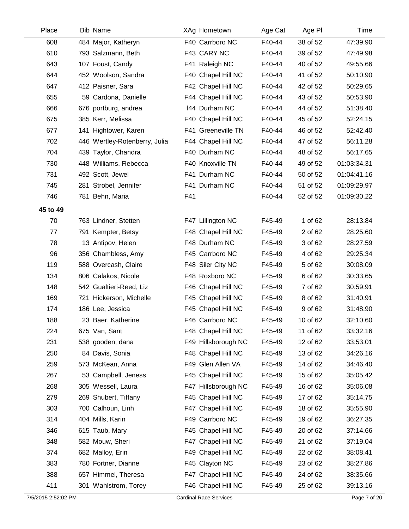| Place    | <b>Bib Name</b>               | XAg Hometown        | Age Cat | Age PI   | Time        |
|----------|-------------------------------|---------------------|---------|----------|-------------|
| 608      | 484 Major, Katheryn           | F40 Carrboro NC     | F40-44  | 38 of 52 | 47:39.90    |
| 610      | 793 Salzmann, Beth            | F43 CARY NC         | F40-44  | 39 of 52 | 47:49.98    |
| 643      | 107 Foust, Candy              | F41 Raleigh NC      | F40-44  | 40 of 52 | 49:55.66    |
| 644      | 452 Woolson, Sandra           | F40 Chapel Hill NC  | F40-44  | 41 of 52 | 50:10.90    |
| 647      | 412 Paisner, Sara             | F42 Chapel Hill NC  | F40-44  | 42 of 52 | 50:29.65    |
| 655      | 59 Cardona, Danielle          | F44 Chapel Hill NC  | F40-44  | 43 of 52 | 50:53.90    |
| 666      | 676 portburg, andrea          | f44 Durham NC       | F40-44  | 44 of 52 | 51:38.40    |
| 675      | 385 Kerr, Melissa             | F40 Chapel Hill NC  | F40-44  | 45 of 52 | 52:24.15    |
| 677      | 141 Hightower, Karen          | F41 Greeneville TN  | F40-44  | 46 of 52 | 52:42.40    |
| 702      | 446 Wertley-Rotenberry, Julia | F44 Chapel Hill NC  | F40-44  | 47 of 52 | 56:11.28    |
| 704      | 439 Taylor, Chandra           | F40 Durham NC       | F40-44  | 48 of 52 | 56:17.65    |
| 730      | 448 Williams, Rebecca         | F40 Knoxville TN    | F40-44  | 49 of 52 | 01:03:34.31 |
| 731      | 492 Scott, Jewel              | F41 Durham NC       | F40-44  | 50 of 52 | 01:04:41.16 |
| 745      | 281 Strobel, Jennifer         | F41 Durham NC       | F40-44  | 51 of 52 | 01:09:29.97 |
| 746      | 781 Behn, Maria               | F41                 | F40-44  | 52 of 52 | 01:09:30.22 |
| 45 to 49 |                               |                     |         |          |             |
| 70       | 763 Lindner, Stetten          | F47 Lillington NC   | F45-49  | 1 of 62  | 28:13.84    |
| 77       | 791 Kempter, Betsy            | F48 Chapel Hill NC  | F45-49  | 2 of 62  | 28:25.60    |
| 78       | 13 Antipov, Helen             | F48 Durham NC       | F45-49  | 3 of 62  | 28:27.59    |
| 96       | 356 Chambless, Amy            | F45 Carrboro NC     | F45-49  | 4 of 62  | 29:25.34    |
| 119      | 588 Overcash, Claire          | F48 Siler City NC   | F45-49  | 5 of 62  | 30:08.09    |
| 134      | 806 Calakos, Nicole           | F48 Roxboro NC      | F45-49  | 6 of 62  | 30:33.65    |
| 148      | 542 Gualtieri-Reed, Liz       | F46 Chapel Hill NC  | F45-49  | 7 of 62  | 30:59.91    |
| 169      | 721 Hickerson, Michelle       | F45 Chapel Hill NC  | F45-49  | 8 of 62  | 31:40.91    |
| 174      | 186 Lee, Jessica              | F45 Chapel Hill NC  | F45-49  | 9 of 62  | 31:48.90    |
| 188      | 23 Baer, Katherine            | F46 Carrboro NC     | F45-49  | 10 of 62 | 32:10.60    |
| 224      | 675 Van, Sant                 | F48 Chapel Hill NC  | F45-49  | 11 of 62 | 33:32.16    |
| 231      | 538 gooden, dana              | F49 Hillsborough NC | F45-49  | 12 of 62 | 33:53.01    |
| 250      | 84 Davis, Sonia               | F48 Chapel Hill NC  | F45-49  | 13 of 62 | 34:26.16    |
| 259      | 573 McKean, Anna              | F49 Glen Allen VA   | F45-49  | 14 of 62 | 34:46.40    |
| 267      | 53 Campbell, Jeness           | F45 Chapel Hill NC  | F45-49  | 15 of 62 | 35:05.42    |
| 268      | 305 Wessell, Laura            | F47 Hillsborough NC | F45-49  | 16 of 62 | 35:06.08    |
| 279      | 269 Shubert, Tiffany          | F45 Chapel Hill NC  | F45-49  | 17 of 62 | 35:14.75    |
| 303      | 700 Calhoun, Linh             | F47 Chapel Hill NC  | F45-49  | 18 of 62 | 35:55.90    |
| 314      | 404 Mills, Karin              | F49 Carrboro NC     | F45-49  | 19 of 62 | 36:27.35    |
| 346      | 615 Taub, Mary                | F45 Chapel Hill NC  | F45-49  | 20 of 62 | 37:14.66    |
| 348      | 582 Mouw, Sheri               | F47 Chapel Hill NC  | F45-49  | 21 of 62 | 37:19.04    |
| 374      | 682 Malloy, Erin              | F49 Chapel Hill NC  | F45-49  | 22 of 62 | 38:08.41    |
| 383      | 780 Fortner, Dianne           | F45 Clayton NC      | F45-49  | 23 of 62 | 38:27.86    |
| 388      | 657 Himmel, Theresa           | F47 Chapel Hill NC  | F45-49  | 24 of 62 | 38:35.66    |
| 411      | 301 Wahlstrom, Torey          | F46 Chapel Hill NC  | F45-49  | 25 of 62 | 39:13.16    |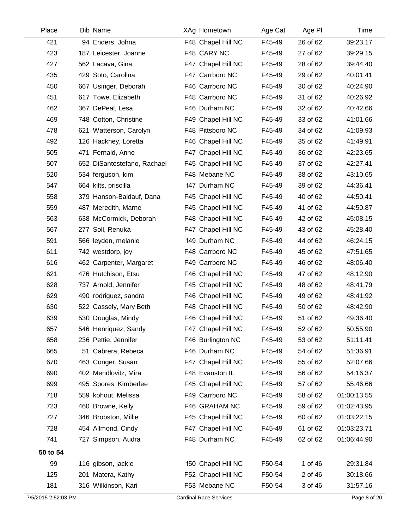| Place               | Bib Name                    | XAg Hometown                  | Age Cat | Age PI   | Time         |
|---------------------|-----------------------------|-------------------------------|---------|----------|--------------|
| 421                 | 94 Enders, Johna            | F48 Chapel Hill NC            | F45-49  | 26 of 62 | 39:23.17     |
| 423                 | 187 Leicester, Joanne       | F48 CARY NC                   | F45-49  | 27 of 62 | 39:29.15     |
| 427                 | 562 Lacava, Gina            | F47 Chapel Hill NC            | F45-49  | 28 of 62 | 39:44.40     |
| 435                 | 429 Soto, Carolina          | F47 Carrboro NC               | F45-49  | 29 of 62 | 40:01.41     |
| 450                 | 667 Usinger, Deborah        | F46 Carrboro NC               | F45-49  | 30 of 62 | 40:24.90     |
| 451                 | 617 Towe, Elizabeth         | F48 Carrboro NC               | F45-49  | 31 of 62 | 40:26.92     |
| 462                 | 367 DePeal, Lesa            | F46 Durham NC                 | F45-49  | 32 of 62 | 40:42.66     |
| 469                 | 748 Cotton, Christine       | F49 Chapel Hill NC            | F45-49  | 33 of 62 | 41:01.66     |
| 478                 | 621 Watterson, Carolyn      | F48 Pittsboro NC              | F45-49  | 34 of 62 | 41:09.93     |
| 492                 | 126 Hackney, Loretta        | F46 Chapel Hill NC            | F45-49  | 35 of 62 | 41:49.91     |
| 505                 | 471 Fernald, Anne           | F47 Chapel Hill NC            | F45-49  | 36 of 62 | 42:23.65     |
| 507                 | 652 DiSantostefano, Rachael | F45 Chapel Hill NC            | F45-49  | 37 of 62 | 42:27.41     |
| 520                 | 534 ferguson, kim           | F48 Mebane NC                 | F45-49  | 38 of 62 | 43:10.65     |
| 547                 | 664 kilts, priscilla        | f47 Durham NC                 | F45-49  | 39 of 62 | 44:36.41     |
| 558                 | 379 Hanson-Baldauf, Dana    | F45 Chapel Hill NC            | F45-49  | 40 of 62 | 44:50.41     |
| 559                 | 487 Meredith, Marne         | F45 Chapel Hill NC            | F45-49  | 41 of 62 | 44:50.87     |
| 563                 | 638 McCormick, Deborah      | F48 Chapel Hill NC            | F45-49  | 42 of 62 | 45:08.15     |
| 567                 | 277 Soll, Renuka            | F47 Chapel Hill NC            | F45-49  | 43 of 62 | 45:28.40     |
| 591                 | 566 leyden, melanie         | f49 Durham NC                 | F45-49  | 44 of 62 | 46:24.15     |
| 611                 | 742 westdorp, joy           | F48 Carrboro NC               | F45-49  | 45 of 62 | 47:51.65     |
| 616                 | 462 Carpenter, Margaret     | F49 Carrboro NC               | F45-49  | 46 of 62 | 48:06.40     |
| 621                 | 476 Hutchison, Etsu         | F46 Chapel Hill NC            | F45-49  | 47 of 62 | 48:12.90     |
| 628                 | 737 Arnold, Jennifer        | F45 Chapel Hill NC            | F45-49  | 48 of 62 | 48:41.79     |
| 629                 | 490 rodriguez, sandra       | F46 Chapel Hill NC            | F45-49  | 49 of 62 | 48:41.92     |
| 630                 | 522 Cassely, Mary Beth      | F48 Chapel Hill NC            | F45-49  | 50 of 62 | 48:42.90     |
| 639                 | 530 Douglas, Mindy          | F46 Chapel Hill NC            | F45-49  | 51 of 62 | 49:36.40     |
| 657                 | 546 Henriquez, Sandy        | F47 Chapel Hill NC            | F45-49  | 52 of 62 | 50:55.90     |
| 658                 | 236 Pettie, Jennifer        | F46 Burlington NC             | F45-49  | 53 of 62 | 51:11.41     |
| 665                 | 51 Cabrera, Rebeca          | F46 Durham NC                 | F45-49  | 54 of 62 | 51:36.91     |
| 670                 | 463 Conger, Susan           | F47 Chapel Hill NC            | F45-49  | 55 of 62 | 52:07.66     |
| 690                 | 402 Mendlovitz, Mira        | F48 Evanston IL               | F45-49  | 56 of 62 | 54:16.37     |
| 699                 | 495 Spores, Kimberlee       | F45 Chapel Hill NC            | F45-49  | 57 of 62 | 55:46.66     |
| 718                 | 559 kohout, Melissa         | F49 Carrboro NC               | F45-49  | 58 of 62 | 01:00:13.55  |
| 723                 | 460 Browne, Kelly           | F46 GRAHAM NC                 | F45-49  | 59 of 62 | 01:02:43.95  |
| 727                 | 346 Brobston, Millie        | F45 Chapel Hill NC            | F45-49  | 60 of 62 | 01:03:22.15  |
| 728                 | 454 Allmond, Cindy          | F47 Chapel Hill NC            | F45-49  | 61 of 62 | 01:03:23.71  |
| 741                 | 727 Simpson, Audra          | F48 Durham NC                 | F45-49  | 62 of 62 | 01:06:44.90  |
| 50 to 54            |                             |                               |         |          |              |
| 99                  | 116 gibson, jackie          | f50 Chapel Hill NC            | F50-54  | 1 of 46  | 29:31.84     |
| 125                 | 201 Matera, Kathy           | F52 Chapel Hill NC            | F50-54  | 2 of 46  | 30:18.66     |
| 181                 | 316 Wilkinson, Kari         | F53 Mebane NC                 | F50-54  | 3 of 46  | 31:57.16     |
| 7/5/2015 2:52:03 PM |                             | <b>Cardinal Race Services</b> |         |          | Page 8 of 20 |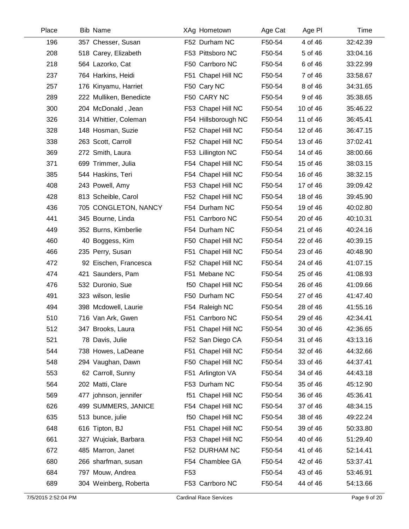| Place | <b>Bib Name</b>         | XAg Hometown        | Age Cat | Age PI   | Time     |
|-------|-------------------------|---------------------|---------|----------|----------|
| 196   | 357 Chesser, Susan      | F52 Durham NC       | F50-54  | 4 of 46  | 32:42.39 |
| 208   | 518 Carey, Elizabeth    | F53 Pittsboro NC    | F50-54  | 5 of 46  | 33:04.16 |
| 218   | 564 Lazorko, Cat        | F50 Carrboro NC     | F50-54  | 6 of 46  | 33:22.99 |
| 237   | 764 Harkins, Heidi      | F51 Chapel Hill NC  | F50-54  | 7 of 46  | 33:58.67 |
| 257   | 176 Kinyamu, Harriet    | F50 Cary NC         | F50-54  | 8 of 46  | 34:31.65 |
| 289   | 222 Mulliken, Benedicte | F50 CARY NC         | F50-54  | 9 of 46  | 35:38.65 |
| 300   | 204 McDonald, Jean      | F53 Chapel Hill NC  | F50-54  | 10 of 46 | 35:46.22 |
| 326   | 314 Whittier, Coleman   | F54 Hillsborough NC | F50-54  | 11 of 46 | 36:45.41 |
| 328   | 148 Hosman, Suzie       | F52 Chapel Hill NC  | F50-54  | 12 of 46 | 36:47.15 |
| 338   | 263 Scott, Carroll      | F52 Chapel Hill NC  | F50-54  | 13 of 46 | 37:02.41 |
| 369   | 272 Smith, Laura        | F53 Lillington NC   | F50-54  | 14 of 46 | 38:00.66 |
| 371   | 699 Trimmer, Julia      | F54 Chapel Hill NC  | F50-54  | 15 of 46 | 38:03.15 |
| 385   | 544 Haskins, Teri       | F54 Chapel Hill NC  | F50-54  | 16 of 46 | 38:32.15 |
| 408   | 243 Powell, Amy         | F53 Chapel Hill NC  | F50-54  | 17 of 46 | 39:09.42 |
| 428   | 813 Scheible, Carol     | F52 Chapel Hill NC  | F50-54  | 18 of 46 | 39:45.90 |
| 436   | 705 CONGLETON, NANCY    | F54 Durham NC       | F50-54  | 19 of 46 | 40:02.80 |
| 441   | 345 Bourne, Linda       | F51 Carrboro NC     | F50-54  | 20 of 46 | 40:10.31 |
| 449   | 352 Burns, Kimberlie    | F54 Durham NC       | F50-54  | 21 of 46 | 40:24.16 |
| 460   | 40 Boggess, Kim         | F50 Chapel Hill NC  | F50-54  | 22 of 46 | 40:39.15 |
| 466   | 235 Perry, Susan        | F51 Chapel Hill NC  | F50-54  | 23 of 46 | 40:48.90 |
| 472   | 92 Eischen, Francesca   | F52 Chapel Hill NC  | F50-54  | 24 of 46 | 41:07.15 |
| 474   | 421 Saunders, Pam       | F51 Mebane NC       | F50-54  | 25 of 46 | 41:08.93 |
| 476   | 532 Duronio, Sue        | f50 Chapel Hill NC  | F50-54  | 26 of 46 | 41:09.66 |
| 491   | 323 wilson, leslie      | F50 Durham NC       | F50-54  | 27 of 46 | 41:47.40 |
| 494   | 398 Mcdowell, Laurie    | F54 Raleigh NC      | F50-54  | 28 of 46 | 41:55.16 |
| 510   | 716 Van Ark, Gwen       | F51 Carrboro NC     | F50-54  | 29 of 46 | 42:34.41 |
| 512   | 347 Brooks, Laura       | F51 Chapel Hill NC  | F50-54  | 30 of 46 | 42:36.65 |
| 521   | 78 Davis, Julie         | F52 San Diego CA    | F50-54  | 31 of 46 | 43:13.16 |
| 544   | 738 Howes, LaDeane      | F51 Chapel Hill NC  | F50-54  | 32 of 46 | 44:32.66 |
| 548   | 294 Vaughan, Dawn       | F50 Chapel Hill NC  | F50-54  | 33 of 46 | 44:37.41 |
| 553   | 62 Carroll, Sunny       | F51 Arlington VA    | F50-54  | 34 of 46 | 44:43.18 |
| 564   | 202 Matti, Clare        | F53 Durham NC       | F50-54  | 35 of 46 | 45:12.90 |
| 569   | 477 johnson, jennifer   | f51 Chapel Hill NC  | F50-54  | 36 of 46 | 45:36.41 |
| 626   | 499 SUMMERS, JANICE     | F54 Chapel Hill NC  | F50-54  | 37 of 46 | 48:34.15 |
| 635   | 513 bunce, julie        | f50 Chapel Hill NC  | F50-54  | 38 of 46 | 49:22.24 |
| 648   | 616 Tipton, BJ          | F51 Chapel Hill NC  | F50-54  | 39 of 46 | 50:33.80 |
| 661   | 327 Wujciak, Barbara    | F53 Chapel Hill NC  | F50-54  | 40 of 46 | 51:29.40 |
| 672   | 485 Marron, Janet       | F52 DURHAM NC       | F50-54  | 41 of 46 | 52:14.41 |
| 680   | 266 sharfman, susan     | F54 Chamblee GA     | F50-54  | 42 of 46 | 53:37.41 |
| 684   | 797 Mouw, Andrea        | F <sub>53</sub>     | F50-54  | 43 of 46 | 53:46.91 |
| 689   | 304 Weinberg, Roberta   | F53 Carrboro NC     | F50-54  | 44 of 46 | 54:13.66 |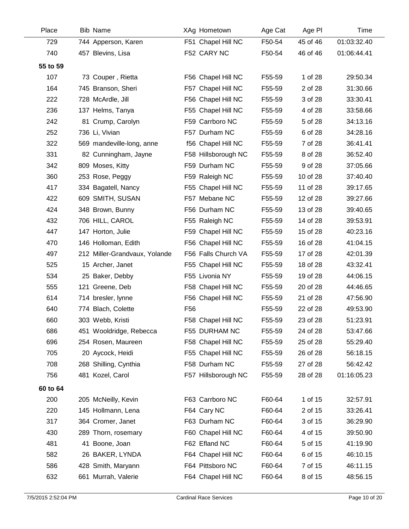| Place    | <b>Bib Name</b>               |                 | XAg Hometown        | Age Cat | Age PI   | Time        |
|----------|-------------------------------|-----------------|---------------------|---------|----------|-------------|
| 729      | 744 Apperson, Karen           |                 | F51 Chapel Hill NC  | F50-54  | 45 of 46 | 01:03:32.40 |
| 740      | 457 Blevins, Lisa             |                 | F52 CARY NC         | F50-54  | 46 of 46 | 01:06:44.41 |
| 55 to 59 |                               |                 |                     |         |          |             |
| 107      | 73 Couper, Rietta             |                 | F56 Chapel Hill NC  | F55-59  | 1 of 28  | 29:50.34    |
| 164      | 745 Branson, Sheri            |                 | F57 Chapel Hill NC  | F55-59  | 2 of 28  | 31:30.66    |
| 222      | 728 McArdle, Jill             |                 | F56 Chapel Hill NC  | F55-59  | 3 of 28  | 33:30.41    |
| 236      | 137 Helms, Tanya              |                 | F55 Chapel Hill NC  | F55-59  | 4 of 28  | 33:58.66    |
| 242      | 81 Crump, Carolyn             |                 | F59 Carrboro NC     | F55-59  | 5 of 28  | 34:13.16    |
| 252      | 736 Li, Vivian                |                 | F57 Durham NC       | F55-59  | 6 of 28  | 34:28.16    |
| 322      | 569 mandeville-long, anne     |                 | f56 Chapel Hill NC  | F55-59  | 7 of 28  | 36:41.41    |
| 331      | 82 Cunningham, Jayne          |                 | F58 Hillsborough NC | F55-59  | 8 of 28  | 36:52.40    |
| 342      | 809 Moses, Kitty              |                 | F59 Durham NC       | F55-59  | 9 of 28  | 37:05.66    |
| 360      | 253 Rose, Peggy               |                 | F59 Raleigh NC      | F55-59  | 10 of 28 | 37:40.40    |
| 417      | 334 Bagatell, Nancy           |                 | F55 Chapel Hill NC  | F55-59  | 11 of 28 | 39:17.65    |
| 422      | 609 SMITH, SUSAN              |                 | F57 Mebane NC       | F55-59  | 12 of 28 | 39:27.66    |
| 424      | 348 Brown, Bunny              |                 | F56 Durham NC       | F55-59  | 13 of 28 | 39:40.65    |
| 432      | 706 HILL, CAROL               |                 | F55 Raleigh NC      | F55-59  | 14 of 28 | 39:53.91    |
| 447      | 147 Horton, Julie             |                 | F59 Chapel Hill NC  | F55-59  | 15 of 28 | 40:23.16    |
| 470      | 146 Holloman, Edith           |                 | F56 Chapel Hill NC  | F55-59  | 16 of 28 | 41:04.15    |
| 497      | 212 Miller-Grandvaux, Yolande |                 | F56 Falls Church VA | F55-59  | 17 of 28 | 42:01.39    |
| 525      | 15 Archer, Janet              |                 | F55 Chapel Hill NC  | F55-59  | 18 of 28 | 43:32.41    |
| 534      | 25 Baker, Debby               |                 | F55 Livonia NY      | F55-59  | 19 of 28 | 44:06.15    |
| 555      | 121 Greene, Deb               |                 | F58 Chapel Hill NC  | F55-59  | 20 of 28 | 44:46.65    |
| 614      | 714 bresler, lynne            |                 | F56 Chapel Hill NC  | F55-59  | 21 of 28 | 47:56.90    |
| 640      | 774 Blach, Colette            | F <sub>56</sub> |                     | F55-59  | 22 of 28 | 49:53.90    |
| 660      | 303 Webb, Kristi              |                 | F58 Chapel Hill NC  | F55-59  | 23 of 28 | 51:23.91    |
| 686      | 451 Wooldridge, Rebecca       |                 | F55 DURHAM NC       | F55-59  | 24 of 28 | 53:47.66    |
| 696      | 254 Rosen, Maureen            |                 | F58 Chapel Hill NC  | F55-59  | 25 of 28 | 55:29.40    |
| 705      | 20 Aycock, Heidi              |                 | F55 Chapel Hill NC  | F55-59  | 26 of 28 | 56:18.15    |
| 708      | 268 Shilling, Cynthia         |                 | F58 Durham NC       | F55-59  | 27 of 28 | 56:42.42    |
| 756      | 481 Kozel, Carol              |                 | F57 Hillsborough NC | F55-59  | 28 of 28 | 01:16:05.23 |
| 60 to 64 |                               |                 |                     |         |          |             |
| 200      | 205 McNeilly, Kevin           |                 | F63 Carrboro NC     | F60-64  | 1 of 15  | 32:57.91    |
| 220      | 145 Hollmann, Lena            |                 | F64 Cary NC         | F60-64  | 2 of 15  | 33:26.41    |
| 317      | 364 Cromer, Janet             |                 | F63 Durham NC       | F60-64  | 3 of 15  | 36:29.90    |
| 430      | 289 Thorn, rosemary           |                 | F60 Chapel Hill NC  | F60-64  | 4 of 15  | 39:50.90    |
| 481      | 41 Boone, Joan                |                 | F62 Efland NC       | F60-64  | 5 of 15  | 41:19.90    |
| 582      | 26 BAKER, LYNDA               |                 | F64 Chapel Hill NC  | F60-64  | 6 of 15  | 46:10.15    |
| 586      | 428 Smith, Maryann            |                 | F64 Pittsboro NC    | F60-64  | 7 of 15  | 46:11.15    |
| 632      | 661 Murrah, Valerie           |                 | F64 Chapel Hill NC  | F60-64  | 8 of 15  | 48:56.15    |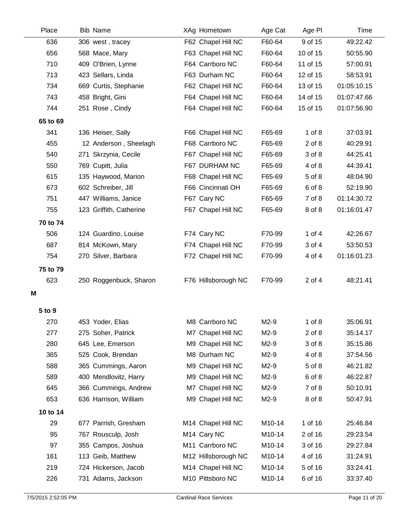| Place    | <b>Bib Name</b>         | XAg Hometown            | Age Cat | Age PI     | Time        |
|----------|-------------------------|-------------------------|---------|------------|-------------|
| 636      | 306 west, tracey        | F62 Chapel Hill NC      | F60-64  | 9 of 15    | 49:22.42    |
| 656      | 568 Mace, Mary          | F63 Chapel Hill NC      | F60-64  | 10 of 15   | 50:55.90    |
| 710      | 409 O'Brien, Lynne      | F64 Carrboro NC         | F60-64  | 11 of 15   | 57:00.91    |
| 713      | 423 Sellars, Linda      | F63 Durham NC           | F60-64  | 12 of 15   | 58:53.91    |
| 734      | 669 Curtis, Stephanie   | F62 Chapel Hill NC      | F60-64  | 13 of 15   | 01:05:10.15 |
| 743      | 458 Bright, Gini        | F64 Chapel Hill NC      | F60-64  | 14 of 15   | 01:07:47.66 |
| 744      | 251 Rose, Cindy         | F64 Chapel Hill NC      | F60-64  | 15 of 15   | 01:07:56.90 |
| 65 to 69 |                         |                         |         |            |             |
| 341      | 136 Heiser, Sally       | F66 Chapel Hill NC      | F65-69  | $1$ of $8$ | 37:03.91    |
| 455      | 12 Anderson, Sheelagh   | F68 Carrboro NC         | F65-69  | $2$ of $8$ | 40:29.91    |
| 540      | 271 Skrzynia, Cecile    | F67 Chapel Hill NC      | F65-69  | 3 of 8     | 44:25.41    |
| 550      | 769 Cupitt, Julia       | F67 DURHAM NC           | F65-69  | 4 of 8     | 44:39.41    |
| 615      | 135 Haywood, Marion     | F68 Chapel Hill NC      | F65-69  | 5 of 8     | 48:04.90    |
| 673      | 602 Schreiber, Jill     | F66 Cincinnati OH       | F65-69  | 6 of 8     | 52:19.90    |
| 751      | 447 Williams, Janice    | F67 Cary NC             | F65-69  | 7 of 8     | 01:14:30.72 |
| 755      | 123 Griffith, Catherine | F67 Chapel Hill NC      | F65-69  | 8 of 8     | 01:16:01.47 |
| 70 to 74 |                         |                         |         |            |             |
| 506      | 124 Guardino, Louise    | F74 Cary NC             | F70-99  | 1 of 4     | 42:26.67    |
| 687      | 814 McKown, Mary        | F74 Chapel Hill NC      | F70-99  | 3 of 4     | 53:50.53    |
| 754      | 270 Silver, Barbara     | F72 Chapel Hill NC      | F70-99  | 4 of 4     | 01:16:01.23 |
| 75 to 79 |                         |                         |         |            |             |
| 623      | 250 Roggenbuck, Sharon  | F76 Hillsborough NC     | F70-99  | 2 of 4     | 48:21.41    |
| Μ        |                         |                         |         |            |             |
|          |                         |                         |         |            |             |
| 5 to 9   |                         |                         |         |            |             |
| 270      | 453 Yoder, Elias        | M8 Carrboro NC          | M2-9    | $1$ of $8$ | 35:06.91    |
| 277      | 275 Soher, Patrick      | M7 Chapel Hill NC       | M2-9    | $2$ of $8$ | 35:14.17    |
| 280      | 645 Lee, Emerson        | M9 Chapel Hill NC       | M2-9    | 3 of 8     | 35:15.86    |
| 365      | 525 Cook, Brendan       | M8 Durham NC            | M2-9    | 4 of 8     | 37:54.56    |
| 588      | 365 Cummings, Aaron     | M9 Chapel Hill NC       | $M2-9$  | 5 of 8     | 46:21.82    |
| 589      | 400 Mendlovitz, Harry   | M9 Chapel Hill NC       | M2-9    | 6 of 8     | 46:22.87    |
| 645      | 366 Cummings, Andrew    | M7 Chapel Hill NC       | M2-9    | 7 of 8     | 50:10.91    |
| 653      | 636 Harrison, William   | M9 Chapel Hill NC       | M2-9    | 8 of 8     | 50:47.91    |
| 10 to 14 |                         |                         |         |            |             |
| 29       | 677 Parrish, Gresham    | M14 Chapel Hill NC      | M10-14  | 1 of 16    | 25:46.84    |
| 95       | 767 Rousculp, Josh      | M <sub>14</sub> Cary NC | M10-14  | 2 of 16    | 29:23.54    |
| 97       | 355 Campos, Joshua      | M11 Carrboro NC         | M10-14  | 3 of 16    | 29:27.84    |
| 161      | 113 Geib, Matthew       | M12 Hillsborough NC     | M10-14  | 4 of 16    | 31:24.91    |
| 219      | 724 Hickerson, Jacob    | M14 Chapel Hill NC      | M10-14  | 5 of 16    | 33:24.41    |
| 226      | 731 Adams, Jackson      | M10 Pittsboro NC        | M10-14  | 6 of 16    | 33:37.40    |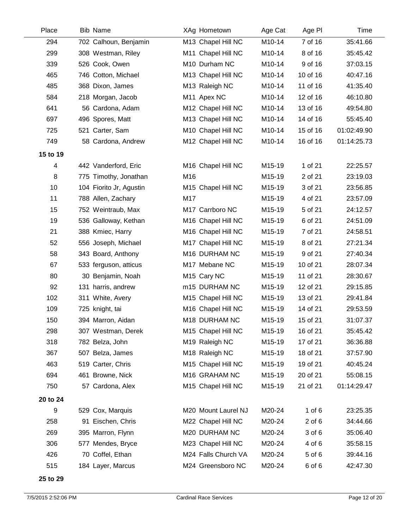| Place    | Bib Name                | XAg Hometown            | Age Cat | Age PI     | Time        |
|----------|-------------------------|-------------------------|---------|------------|-------------|
| 294      | 702 Calhoun, Benjamin   | M13 Chapel Hill NC      | M10-14  | 7 of 16    | 35:41.66    |
| 299      | 308 Westman, Riley      | M11 Chapel Hill NC      | M10-14  | 8 of 16    | 35:45.42    |
| 339      | 526 Cook, Owen          | M10 Durham NC           | M10-14  | 9 of 16    | 37:03.15    |
| 465      | 746 Cotton, Michael     | M13 Chapel Hill NC      | M10-14  | 10 of 16   | 40:47.16    |
| 485      | 368 Dixon, James        | M13 Raleigh NC          | M10-14  | 11 of 16   | 41:35.40    |
| 584      | 218 Morgan, Jacob       | M11 Apex NC             | M10-14  | 12 of 16   | 46:10.80    |
| 641      | 56 Cardona, Adam        | M12 Chapel Hill NC      | M10-14  | 13 of 16   | 49:54.80    |
| 697      | 496 Spores, Matt        | M13 Chapel Hill NC      | M10-14  | 14 of 16   | 55:45.40    |
| 725      | 521 Carter, Sam         | M10 Chapel Hill NC      | M10-14  | 15 of 16   | 01:02:49.90 |
| 749      | 58 Cardona, Andrew      | M12 Chapel Hill NC      | M10-14  | 16 of 16   | 01:14:25.73 |
| 15 to 19 |                         |                         |         |            |             |
| 4        | 442 Vanderford, Eric    | M16 Chapel Hill NC      | M15-19  | 1 of 21    | 22:25.57    |
| 8        | 775 Timothy, Jonathan   | M16                     | M15-19  | 2 of 21    | 23:19.03    |
| 10       | 104 Fiorito Jr, Agustin | M15 Chapel Hill NC      | M15-19  | 3 of 21    | 23:56.85    |
| 11       | 788 Allen, Zachary      | M17                     | M15-19  | 4 of 21    | 23:57.09    |
| 15       | 752 Weintraub, Max      | M17 Carrboro NC         | M15-19  | 5 of 21    | 24:12.57    |
| 19       | 536 Galloway, Kethan    | M16 Chapel Hill NC      | M15-19  | 6 of 21    | 24:51.09    |
| 21       | 388 Kmiec, Harry        | M16 Chapel Hill NC      | M15-19  | 7 of 21    | 24:58.51    |
| 52       | 556 Joseph, Michael     | M17 Chapel Hill NC      | M15-19  | 8 of 21    | 27:21.34    |
| 58       | 343 Board, Anthony      | M16 DURHAM NC           | M15-19  | 9 of 21    | 27:40.34    |
| 67       | 533 ferguson, atticus   | M17 Mebane NC           | M15-19  | 10 of 21   | 28:07.34    |
| 80       | 30 Benjamin, Noah       | M <sub>15</sub> Cary NC | M15-19  | 11 of 21   | 28:30.67    |
| 92       | 131 harris, andrew      | m15 DURHAM NC           | M15-19  | 12 of 21   | 29:15.85    |
| 102      | 311 White, Avery        | M15 Chapel Hill NC      | M15-19  | 13 of 21   | 29:41.84    |
| 109      | 725 knight, tai         | M16 Chapel Hill NC      | M15-19  | 14 of 21   | 29:53.59    |
| 150      | 394 Marron, Aidan       | M18 DURHAM NC           | M15-19  | 15 of 21   | 31:07.37    |
| 298      | 307 Westman, Derek      | M15 Chapel Hill NC      | M15-19  | 16 of 21   | 35:45.42    |
| 318      | 782 Belza, John         | M19 Raleigh NC          | M15-19  | 17 of 21   | 36:36.88    |
| 367      | 507 Belza, James        | M18 Raleigh NC          | M15-19  | 18 of 21   | 37:57.90    |
| 463      | 519 Carter, Chris       | M15 Chapel Hill NC      | M15-19  | 19 of 21   | 40:45.24    |
| 694      | 461 Browne, Nick        | M16 GRAHAM NC           | M15-19  | 20 of 21   | 55:08.15    |
| 750      | 57 Cardona, Alex        | M15 Chapel Hill NC      | M15-19  | 21 of 21   | 01:14:29.47 |
| 20 to 24 |                         |                         |         |            |             |
| 9        | 529 Cox, Marquis        | M20 Mount Laurel NJ     | M20-24  | $1$ of $6$ | 23:25.35    |
| 258      | 91 Eischen, Chris       | M22 Chapel Hill NC      | M20-24  | $2$ of $6$ | 34:44.66    |
| 269      | 395 Marron, Flynn       | M20 DURHAM NC           | M20-24  | 3 of 6     | 35:06.40    |
| 306      | 577 Mendes, Bryce       | M23 Chapel Hill NC      | M20-24  | 4 of 6     | 35:58.15    |
| 426      | 70 Coffel, Ethan        | M24 Falls Church VA     | M20-24  | 5 of 6     | 39:44.16    |
| 515      | 184 Layer, Marcus       | M24 Greensboro NC       | M20-24  | 6 of 6     | 42:47.30    |
|          |                         |                         |         |            |             |

**25 to 29**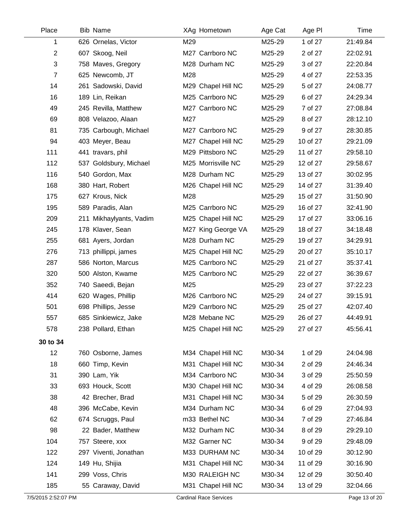| Place          | <b>Bib Name</b>         |     | XAg Hometown       | Age Cat | Age PI   | Time     |
|----------------|-------------------------|-----|--------------------|---------|----------|----------|
| 1              | 626 Ornelas, Victor     | M29 |                    | M25-29  | 1 of 27  | 21:49.84 |
| $\overline{c}$ | 607 Skoog, Neil         |     | M27 Carrboro NC    | M25-29  | 2 of 27  | 22:02.91 |
| 3              | 758 Maves, Gregory      |     | M28 Durham NC      | M25-29  | 3 of 27  | 22:20.84 |
| $\overline{7}$ | 625 Newcomb, JT         | M28 |                    | M25-29  | 4 of 27  | 22:53.35 |
| 14             | 261 Sadowski, David     |     | M29 Chapel Hill NC | M25-29  | 5 of 27  | 24:08.77 |
| 16             | 189 Lin, Reikan         |     | M25 Carrboro NC    | M25-29  | 6 of 27  | 24:29.34 |
| 49             | 245 Revilla, Matthew    |     | M27 Carrboro NC    | M25-29  | 7 of 27  | 27:08.84 |
| 69             | 808 Velazoo, Alaan      | M27 |                    | M25-29  | 8 of 27  | 28:12.10 |
| 81             | 735 Carbough, Michael   |     | M27 Carrboro NC    | M25-29  | 9 of 27  | 28:30.85 |
| 94             | 403 Meyer, Beau         |     | M27 Chapel Hill NC | M25-29  | 10 of 27 | 29:21.09 |
| 111            | 441 travars, phil       |     | M29 Pittsboro NC   | M25-29  | 11 of 27 | 29:58.10 |
| 112            | 537 Goldsbury, Michael  |     | M25 Morrisville NC | M25-29  | 12 of 27 | 29:58.67 |
| 116            | 540 Gordon, Max         |     | M28 Durham NC      | M25-29  | 13 of 27 | 30:02.95 |
| 168            | 380 Hart, Robert        |     | M26 Chapel Hill NC | M25-29  | 14 of 27 | 31:39.40 |
| 175            | 627 Krous, Nick         | M28 |                    | M25-29  | 15 of 27 | 31:50.90 |
| 195            | 589 Paradis, Alan       |     | M25 Carrboro NC    | M25-29  | 16 of 27 | 32:41.90 |
| 209            | 211 Mikhaylyants, Vadim |     | M25 Chapel Hill NC | M25-29  | 17 of 27 | 33:06.16 |
| 245            | 178 Klaver, Sean        |     | M27 King George VA | M25-29  | 18 of 27 | 34:18.48 |
| 255            | 681 Ayers, Jordan       |     | M28 Durham NC      | M25-29  | 19 of 27 | 34:29.91 |
| 276            | 713 phillippi, james    |     | M25 Chapel Hill NC | M25-29  | 20 of 27 | 35:10.17 |
| 287            | 586 Norton, Marcus      |     | M25 Carrboro NC    | M25-29  | 21 of 27 | 35:37.41 |
| 320            | 500 Alston, Kwame       |     | M25 Carrboro NC    | M25-29  | 22 of 27 | 36:39.67 |
| 352            | 740 Saeedi, Bejan       | M25 |                    | M25-29  | 23 of 27 | 37:22.23 |
| 414            | 620 Wages, Phillip      |     | M26 Carrboro NC    | M25-29  | 24 of 27 | 39:15.91 |
| 501            | 698 Phillips, Jesse     |     | M29 Carrboro NC    | M25-29  | 25 of 27 | 42:07.40 |
| 557            | 685 Sinkiewicz, Jake    |     | M28 Mebane NC      | M25-29  | 26 of 27 | 44:49.91 |
| 578            | 238 Pollard, Ethan      |     | M25 Chapel Hill NC | M25-29  | 27 of 27 | 45:56.41 |
| 30 to 34       |                         |     |                    |         |          |          |
| 12             | 760 Osborne, James      |     | M34 Chapel Hill NC | M30-34  | 1 of 29  | 24:04.98 |
| 18             | 660 Timp, Kevin         |     | M31 Chapel Hill NC | M30-34  | 2 of 29  | 24:46.34 |
| 31             | 390 Lam, Yik            |     | M34 Carrboro NC    | M30-34  | 3 of 29  | 25:50.59 |
| 33             | 693 Houck, Scott        |     | M30 Chapel Hill NC | M30-34  | 4 of 29  | 26:08.58 |
| 38             | 42 Brecher, Brad        |     | M31 Chapel Hill NC | M30-34  | 5 of 29  | 26:30.59 |
| 48             | 396 McCabe, Kevin       |     | M34 Durham NC      | M30-34  | 6 of 29  | 27:04.93 |
| 62             | 674 Scruggs, Paul       |     | m33 Bethel NC      | M30-34  | 7 of 29  | 27:46.84 |
| 98             | 22 Bader, Matthew       |     | M32 Durham NC      | M30-34  | 8 of 29  | 29:29.10 |
| 104            | 757 Steere, xxx         |     | M32 Garner NC      | M30-34  | 9 of 29  | 29:48.09 |
| 122            | 297 Viventi, Jonathan   |     | M33 DURHAM NC      | M30-34  | 10 of 29 | 30:12.90 |
| 124            | 149 Hu, Shijia          |     | M31 Chapel Hill NC | M30-34  | 11 of 29 | 30:16.90 |
| 141            | 299 Voss, Chris         |     | M30 RALEIGH NC     | M30-34  | 12 of 29 | 30:50.40 |
| 185            | 55 Caraway, David       |     | M31 Chapel Hill NC | M30-34  | 13 of 29 | 32:04.66 |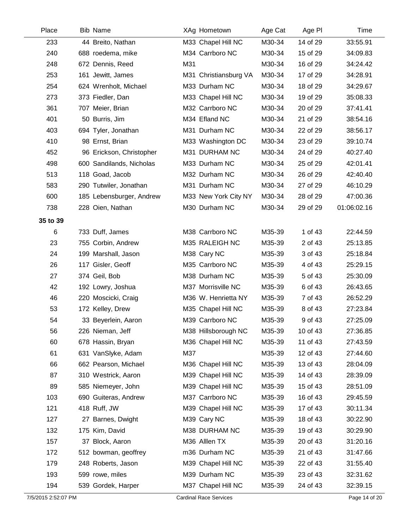| Place    | <b>Bib Name</b>          | XAg Hometown          | Age Cat | Age PI   | Time        |
|----------|--------------------------|-----------------------|---------|----------|-------------|
| 233      | 44 Breito, Nathan        | M33 Chapel Hill NC    | M30-34  | 14 of 29 | 33:55.91    |
| 240      | 688 roedema, mike        | M34 Carrboro NC       | M30-34  | 15 of 29 | 34:09.83    |
| 248      | 672 Dennis, Reed         | M31                   | M30-34  | 16 of 29 | 34:24.42    |
| 253      | 161 Jewitt, James        | M31 Christiansburg VA | M30-34  | 17 of 29 | 34:28.91    |
| 254      | 624 Wrenholt, Michael    | M33 Durham NC         | M30-34  | 18 of 29 | 34:29.67    |
| 273      | 373 Fiedler, Dan         | M33 Chapel Hill NC    | M30-34  | 19 of 29 | 35:08.33    |
| 361      | 707 Meier, Brian         | M32 Carrboro NC       | M30-34  | 20 of 29 | 37:41.41    |
| 401      | 50 Burris, Jim           | M34 Efland NC         | M30-34  | 21 of 29 | 38:54.16    |
| 403      | 694 Tyler, Jonathan      | M31 Durham NC         | M30-34  | 22 of 29 | 38:56.17    |
| 410      | 98 Ernst, Brian          | M33 Washington DC     | M30-34  | 23 of 29 | 39:10.74    |
| 452      | 96 Erickson, Christopher | M31 DURHAM NC         | M30-34  | 24 of 29 | 40:27.40    |
| 498      | 600 Sandilands, Nicholas | M33 Durham NC         | M30-34  | 25 of 29 | 42:01.41    |
| 513      | 118 Goad, Jacob          | M32 Durham NC         | M30-34  | 26 of 29 | 42:40.40    |
| 583      | 290 Tutwiler, Jonathan   | M31 Durham NC         | M30-34  | 27 of 29 | 46:10.29    |
| 600      | 185 Lebensburger, Andrew | M33 New York City NY  | M30-34  | 28 of 29 | 47:00.36    |
| 738      | 228 Oien, Nathan         | M30 Durham NC         | M30-34  | 29 of 29 | 01:06:02.16 |
| 35 to 39 |                          |                       |         |          |             |
| 6        | 733 Duff, James          | M38 Carrboro NC       | M35-39  | 1 of 43  | 22:44.59    |
| 23       | 755 Corbin, Andrew       | M35 RALEIGH NC        | M35-39  | 2 of 43  | 25:13.85    |
| 24       | 199 Marshall, Jason      | M38 Cary NC           | M35-39  | 3 of 43  | 25:18.84    |
| 26       | 117 Gisler, Geoff        | M35 Carrboro NC       | M35-39  | 4 of 43  | 25:29.15    |
| 27       | 374 Geil, Bob            | M38 Durham NC         | M35-39  | 5 of 43  | 25:30.09    |
| 42       | 192 Lowry, Joshua        | M37 Morrisville NC    | M35-39  | 6 of 43  | 26:43.65    |
| 46       | 220 Moscicki, Craig      | M36 W. Henrietta NY   | M35-39  | 7 of 43  | 26:52.29    |
| 53       | 172 Kelley, Drew         | M35 Chapel Hill NC    | M35-39  | 8 of 43  | 27:23.84    |
| 54       | 33 Beyerlein, Aaron      | M39 Carrboro NC       | M35-39  | 9 of 43  | 27:25.09    |
| 56       | 226 Nieman, Jeff         | M38 Hillsborough NC   | M35-39  | 10 of 43 | 27:36.85    |
| 60       | 678 Hassin, Bryan        | M36 Chapel Hill NC    | M35-39  | 11 of 43 | 27:43.59    |
| 61       | 631 VanSlyke, Adam       | M37                   | M35-39  | 12 of 43 | 27:44.60    |
| 66       | 662 Pearson, Michael     | M36 Chapel Hill NC    | M35-39  | 13 of 43 | 28:04.09    |
| 87       | 310 Westrick, Aaron      | M39 Chapel Hill NC    | M35-39  | 14 of 43 | 28:39.09    |
| 89       | 585 Niemeyer, John       | M39 Chapel Hill NC    | M35-39  | 15 of 43 | 28:51.09    |
| 103      | 690 Guiteras, Andrew     | M37 Carrboro NC       | M35-39  | 16 of 43 | 29:45.59    |
| 121      | 418 Ruff, JW             | M39 Chapel Hill NC    | M35-39  | 17 of 43 | 30:11.34    |
| 127      | 27 Barnes, Dwight        | M39 Cary NC           | M35-39  | 18 of 43 | 30:22.90    |
| 132      | 175 Kim, David           | M38 DURHAM NC         | M35-39  | 19 of 43 | 30:29.90    |
| 157      | 37 Block, Aaron          | M36 Alllen TX         | M35-39  | 20 of 43 | 31:20.16    |
| 172      | 512 bowman, geoffrey     | m36 Durham NC         | M35-39  | 21 of 43 | 31:47.66    |
| 179      | 248 Roberts, Jason       | M39 Chapel Hill NC    | M35-39  | 22 of 43 | 31:55.40    |
| 193      | 599 rowe, miles          | M39 Durham NC         | M35-39  | 23 of 43 | 32:31.62    |
| 194      | 539 Gordek, Harper       | M37 Chapel Hill NC    | M35-39  | 24 of 43 | 32:39.15    |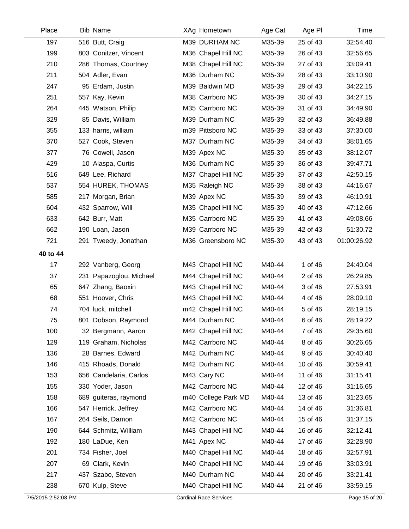| Place    | <b>Bib Name</b>         | XAg Hometown        | Age Cat | Age PI   | Time        |
|----------|-------------------------|---------------------|---------|----------|-------------|
| 197      | 516 Butt, Craig         | M39 DURHAM NC       | M35-39  | 25 of 43 | 32:54.40    |
| 199      | 803 Conitzer, Vincent   | M36 Chapel Hill NC  | M35-39  | 26 of 43 | 32:56.65    |
| 210      | 286 Thomas, Courtney    | M38 Chapel Hill NC  | M35-39  | 27 of 43 | 33:09.41    |
| 211      | 504 Adler, Evan         | M36 Durham NC       | M35-39  | 28 of 43 | 33:10.90    |
| 247      | 95 Erdam, Justin        | M39 Baldwin MD      | M35-39  | 29 of 43 | 34:22.15    |
| 251      | 557 Kay, Kevin          | M38 Carrboro NC     | M35-39  | 30 of 43 | 34:27.15    |
| 264      | 445 Watson, Philip      | M35 Carrboro NC     | M35-39  | 31 of 43 | 34:49.90    |
| 329      | 85 Davis, William       | M39 Durham NC       | M35-39  | 32 of 43 | 36:49.88    |
| 355      | 133 harris, william     | m39 Pittsboro NC    | M35-39  | 33 of 43 | 37:30.00    |
| 370      | 527 Cook, Steven        | M37 Durham NC       | M35-39  | 34 of 43 | 38:01.65    |
| 377      | 76 Cowell, Jason        | M39 Apex NC         | M35-39  | 35 of 43 | 38:12.07    |
| 429      | 10 Alaspa, Curtis       | M36 Durham NC       | M35-39  | 36 of 43 | 39:47.71    |
| 516      | 649 Lee, Richard        | M37 Chapel Hill NC  | M35-39  | 37 of 43 | 42:50.15    |
| 537      | 554 HUREK, THOMAS       | M35 Raleigh NC      | M35-39  | 38 of 43 | 44:16.67    |
| 585      | 217 Morgan, Brian       | M39 Apex NC         | M35-39  | 39 of 43 | 46:10.91    |
| 604      | 432 Sparrow, Will       | M35 Chapel Hill NC  | M35-39  | 40 of 43 | 47:12.66    |
| 633      | 642 Burr, Matt          | M35 Carrboro NC     | M35-39  | 41 of 43 | 49:08.66    |
| 662      | 190 Loan, Jason         | M39 Carrboro NC     | M35-39  | 42 of 43 | 51:30.72    |
| 721      | 291 Tweedy, Jonathan    | M36 Greensboro NC   | M35-39  | 43 of 43 | 01:00:26.92 |
| 40 to 44 |                         |                     |         |          |             |
| 17       | 292 Vanberg, Georg      | M43 Chapel Hill NC  | M40-44  | 1 of 46  | 24:40.04    |
| 37       | 231 Papazoglou, Michael | M44 Chapel Hill NC  | M40-44  | 2 of 46  | 26:29.85    |
| 65       | 647 Zhang, Baoxin       | M43 Chapel Hill NC  | M40-44  | 3 of 46  | 27:53.91    |
| 68       | 551 Hoover, Chris       | M43 Chapel Hill NC  | M40-44  | 4 of 46  | 28:09.10    |
| 74       | 704 luck, mitchell      | m42 Chapel Hill NC  | M40-44  | 5 of 46  | 28:19.15    |
| 75       | 801 Dobson, Raymond     | M44 Durham NC       | M40-44  | 6 of 46  | 28:19.22    |
| 100      | 32 Bergmann, Aaron      | M42 Chapel Hill NC  | M40-44  | 7 of 46  | 29:35.60    |
| 129      | 119 Graham, Nicholas    | M42 Carrboro NC     | M40-44  | 8 of 46  | 30:26.65    |
| 136      | 28 Barnes, Edward       | M42 Durham NC       | M40-44  | 9 of 46  | 30:40.40    |
| 146      | 415 Rhoads, Donald      | M42 Durham NC       | M40-44  | 10 of 46 | 30:59.41    |
| 153      | 656 Candelaria, Carlos  | M43 Cary NC         | M40-44  | 11 of 46 | 31:15.41    |
| 155      | 330 Yoder, Jason        | M42 Carrboro NC     | M40-44  | 12 of 46 | 31:16.65    |
| 158      | 689 guiteras, raymond   | m40 College Park MD | M40-44  | 13 of 46 | 31:23.65    |
| 166      | 547 Herrick, Jeffrey    | M42 Carrboro NC     | M40-44  | 14 of 46 | 31:36.81    |
| 167      | 264 Seils, Damon        | M42 Carrboro NC     | M40-44  | 15 of 46 | 31:37.15    |
| 190      | 644 Schmitz, William    | M43 Chapel Hill NC  | M40-44  | 16 of 46 | 32:12.41    |
| 192      | 180 LaDue, Ken          | M41 Apex NC         | M40-44  | 17 of 46 | 32:28.90    |
| 201      | 734 Fisher, Joel        | M40 Chapel Hill NC  | M40-44  | 18 of 46 | 32:57.91    |
| 207      | 69 Clark, Kevin         | M40 Chapel Hill NC  | M40-44  | 19 of 46 | 33:03.91    |
| 217      | 437 Szabo, Steven       | M40 Durham NC       | M40-44  | 20 of 46 | 33:21.41    |
| 238      | 670 Kulp, Steve         | M40 Chapel Hill NC  | M40-44  | 21 of 46 | 33:59.15    |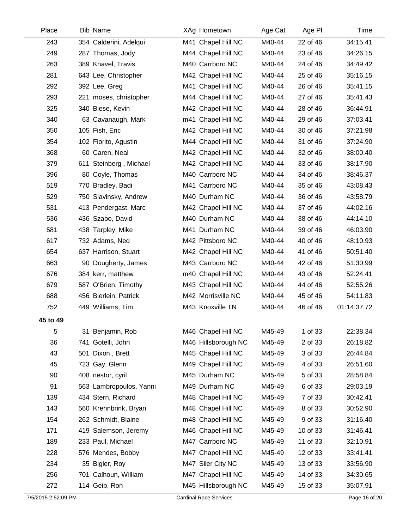| Place    | <b>Bib Name</b>         | XAg Hometown        | Age Cat | Age PI   | Time        |
|----------|-------------------------|---------------------|---------|----------|-------------|
| 243      | 354 Calderini, Adelqui  | M41 Chapel Hill NC  | M40-44  | 22 of 46 | 34:15.41    |
| 249      | 287 Thomas, Jody        | M44 Chapel Hill NC  | M40-44  | 23 of 46 | 34:26.15    |
| 263      | 389 Knavel, Travis      | M40 Carrboro NC     | M40-44  | 24 of 46 | 34:49.42    |
| 281      | 643 Lee, Christopher    | M42 Chapel Hill NC  | M40-44  | 25 of 46 | 35:16.15    |
| 292      | 392 Lee, Greg           | M41 Chapel Hill NC  | M40-44  | 26 of 46 | 35:41.15    |
| 293      | 221 moses, christopher  | M44 Chapel Hill NC  | M40-44  | 27 of 46 | 35:41.43    |
| 325      | 340 Biese, Kevin        | M42 Chapel Hill NC  | M40-44  | 28 of 46 | 36:44.91    |
| 340      | 63 Cavanaugh, Mark      | m41 Chapel Hill NC  | M40-44  | 29 of 46 | 37:03.41    |
| 350      | 105 Fish, Eric          | M42 Chapel Hill NC  | M40-44  | 30 of 46 | 37:21.98    |
| 354      | 102 Fiorito, Agustin    | M44 Chapel Hill NC  | M40-44  | 31 of 46 | 37:24.90    |
| 368      | 60 Caren, Neal          | M42 Chapel Hill NC  | M40-44  | 32 of 46 | 38:00.40    |
| 379      | 611 Steinberg, Michael  | M42 Chapel Hill NC  | M40-44  | 33 of 46 | 38:17.90    |
| 396      | 80 Coyle, Thomas        | M40 Carrboro NC     | M40-44  | 34 of 46 | 38:46.37    |
| 519      | 770 Bradley, Badi       | M41 Carrboro NC     | M40-44  | 35 of 46 | 43:08.43    |
| 529      | 750 Slavinsky, Andrew   | M40 Durham NC       | M40-44  | 36 of 46 | 43:58.79    |
| 531      | 413 Pendergast, Marc    | M42 Chapel Hill NC  | M40-44  | 37 of 46 | 44:02.16    |
| 536      | 436 Szabo, David        | M40 Durham NC       | M40-44  | 38 of 46 | 44:14.10    |
| 581      | 438 Tarpley, Mike       | M41 Durham NC       | M40-44  | 39 of 46 | 46:03.90    |
| 617      | 732 Adams, Ned          | M42 Pittsboro NC    | M40-44  | 40 of 46 | 48:10.93    |
| 654      | 637 Harrison, Stuart    | M42 Chapel Hill NC  | M40-44  | 41 of 46 | 50:51.40    |
| 663      | 90 Dougherty, James     | M43 Carrboro NC     | M40-44  | 42 of 46 | 51:30.99    |
| 676      | 384 kerr, matthew       | m40 Chapel Hill NC  | M40-44  | 43 of 46 | 52:24.41    |
| 679      | 587 O'Brien, Timothy    | M43 Chapel Hill NC  | M40-44  | 44 of 46 | 52:55.26    |
| 688      | 456 Bierlein, Patrick   | M42 Morrisville NC  | M40-44  | 45 of 46 | 54:11.83    |
| 752      | 449 Williams, Tim       | M43 Knoxville TN    | M40-44  | 46 of 46 | 01:14:37.72 |
| 45 to 49 |                         |                     |         |          |             |
| 5        | 31 Benjamin, Rob        | M46 Chapel Hill NC  | M45-49  | 1 of 33  | 22:38.34    |
| 36       | 741 Gotelli, John       | M46 Hillsborough NC | M45-49  | 2 of 33  | 26:18.82    |
| 43       | 501 Dixon, Brett        | M45 Chapel Hill NC  | M45-49  | 3 of 33  | 26:44.84    |
| 45       | 723 Gay, Glenn          | M49 Chapel Hill NC  | M45-49  | 4 of 33  | 26:51.60    |
| 90       | 408 nestor, cyril       | M45 Durham NC       | M45-49  | 5 of 33  | 28:58.84    |
| 91       | 563 Lambropoulos, Yanni | M49 Durham NC       | M45-49  | 6 of 33  | 29:03.19    |
| 139      | 434 Stern, Richard      | M48 Chapel Hill NC  | M45-49  | 7 of 33  | 30:42.41    |
| 143      | 560 Krehnbrink, Bryan   | M48 Chapel Hill NC  | M45-49  | 8 of 33  | 30:52.90    |
| 154      | 262 Schmidt, Blaine     | m48 Chapel Hill NC  | M45-49  | 9 of 33  | 31:16.40    |
| 171      | 419 Salemson, Jeremy    | M46 Chapel Hill NC  | M45-49  | 10 of 33 | 31:46.41    |
| 189      | 233 Paul, Michael       | M47 Carrboro NC     | M45-49  | 11 of 33 | 32:10.91    |
| 228      | 576 Mendes, Bobby       | M47 Chapel Hill NC  | M45-49  | 12 of 33 | 33:41.41    |
| 234      | 35 Bigler, Roy          | M47 Siler City NC   | M45-49  | 13 of 33 | 33:56.90    |
| 256      | 701 Calhoun, William    | M47 Chapel Hill NC  | M45-49  | 14 of 33 | 34:30.65    |
| 272      | 114 Geib, Ron           | M45 Hillsborough NC | M45-49  | 15 of 33 | 35:07.91    |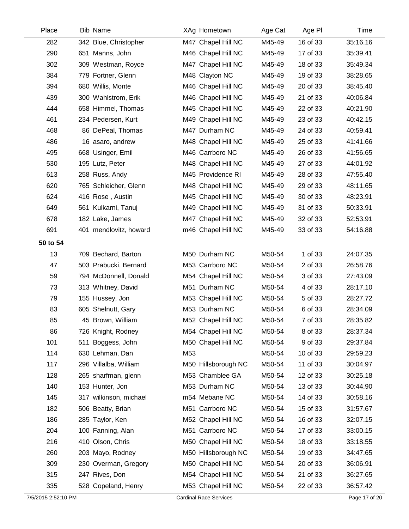| Place    | <b>Bib Name</b>        | XAg Hometown        | Age Cat | Age PI   | Time     |
|----------|------------------------|---------------------|---------|----------|----------|
| 282      | 342 Blue, Christopher  | M47 Chapel Hill NC  | M45-49  | 16 of 33 | 35:16.16 |
| 290      | 651 Manns, John        | M46 Chapel Hill NC  | M45-49  | 17 of 33 | 35:39.41 |
| 302      | 309 Westman, Royce     | M47 Chapel Hill NC  | M45-49  | 18 of 33 | 35:49.34 |
| 384      | 779 Fortner, Glenn     | M48 Clayton NC      | M45-49  | 19 of 33 | 38:28.65 |
| 394      | 680 Willis, Monte      | M46 Chapel Hill NC  | M45-49  | 20 of 33 | 38:45.40 |
| 439      | 300 Wahlstrom, Erik    | M46 Chapel Hill NC  | M45-49  | 21 of 33 | 40:06.84 |
| 444      | 658 Himmel, Thomas     | M45 Chapel Hill NC  | M45-49  | 22 of 33 | 40:21.90 |
| 461      | 234 Pedersen, Kurt     | M49 Chapel Hill NC  | M45-49  | 23 of 33 | 40:42.15 |
| 468      | 86 DePeal, Thomas      | M47 Durham NC       | M45-49  | 24 of 33 | 40:59.41 |
| 486      | 16 asaro, andrew       | M48 Chapel Hill NC  | M45-49  | 25 of 33 | 41:41.66 |
| 495      | 668 Usinger, Emil      | M46 Carrboro NC     | M45-49  | 26 of 33 | 41:56.65 |
| 530      | 195 Lutz, Peter        | M48 Chapel Hill NC  | M45-49  | 27 of 33 | 44:01.92 |
| 613      | 258 Russ, Andy         | M45 Providence RI   | M45-49  | 28 of 33 | 47:55.40 |
| 620      | 765 Schleicher, Glenn  | M48 Chapel Hill NC  | M45-49  | 29 of 33 | 48:11.65 |
| 624      | 416 Rose, Austin       | M45 Chapel Hill NC  | M45-49  | 30 of 33 | 48:23.91 |
| 649      | 561 Kulkarni, Tanuj    | M49 Chapel Hill NC  | M45-49  | 31 of 33 | 50:33.91 |
| 678      | 182 Lake, James        | M47 Chapel Hill NC  | M45-49  | 32 of 33 | 52:53.91 |
| 691      | 401 mendlovitz, howard | m46 Chapel Hill NC  | M45-49  | 33 of 33 | 54:16.88 |
| 50 to 54 |                        |                     |         |          |          |
| 13       | 709 Bechard, Barton    | M50 Durham NC       | M50-54  | 1 of 33  | 24:07.35 |
| 47       | 503 Prabucki, Bernard  | M53 Carrboro NC     | M50-54  | 2 of 33  | 26:58.76 |
| 59       | 794 McDonnell, Donald  | M54 Chapel Hill NC  | M50-54  | 3 of 33  | 27:43.09 |
| 73       | 313 Whitney, David     | M51 Durham NC       | M50-54  | 4 of 33  | 28:17.10 |
| 79       | 155 Hussey, Jon        | M53 Chapel Hill NC  | M50-54  | 5 of 33  | 28:27.72 |
| 83       | 605 Shelnutt, Gary     | M53 Durham NC       | M50-54  | 6 of 33  | 28:34.09 |
| 85       | 45 Brown, William      | M52 Chapel Hill NC  | M50-54  | 7 of 33  | 28:35.82 |
| 86       | 726 Knight, Rodney     | M54 Chapel Hill NC  | M50-54  | 8 of 33  | 28:37.34 |
| 101      | 511 Boggess, John      | M50 Chapel Hill NC  | M50-54  | 9 of 33  | 29:37.84 |
| 114      | 630 Lehman, Dan        | M53                 | M50-54  | 10 of 33 | 29:59.23 |
| 117      | 296 Villalba, William  | M50 Hillsborough NC | M50-54  | 11 of 33 | 30:04.97 |
| 128      | 265 sharfman, glenn    | M53 Chamblee GA     | M50-54  | 12 of 33 | 30:25.18 |
| 140      | 153 Hunter, Jon        | M53 Durham NC       | M50-54  | 13 of 33 | 30:44.90 |
| 145      | 317 wilkinson, michael | m54 Mebane NC       | M50-54  | 14 of 33 | 30:58.16 |
| 182      | 506 Beatty, Brian      | M51 Carrboro NC     | M50-54  | 15 of 33 | 31:57.67 |
| 186      | 285 Taylor, Ken        | M52 Chapel Hill NC  | M50-54  | 16 of 33 | 32:07.15 |
| 204      | 100 Fanning, Alan      | M51 Carrboro NC     | M50-54  | 17 of 33 | 33:00.15 |
| 216      | 410 Olson, Chris       | M50 Chapel Hill NC  | M50-54  | 18 of 33 | 33:18.55 |
| 260      | 203 Mayo, Rodney       | M50 Hillsborough NC | M50-54  | 19 of 33 | 34:47.65 |
| 309      | 230 Overman, Gregory   | M50 Chapel Hill NC  | M50-54  | 20 of 33 | 36:06.91 |
| 315      | 247 Rives, Don         | M54 Chapel Hill NC  | M50-54  | 21 of 33 | 36:27.65 |
| 335      | 528 Copeland, Henry    | M53 Chapel Hill NC  | M50-54  | 22 of 33 | 36:57.42 |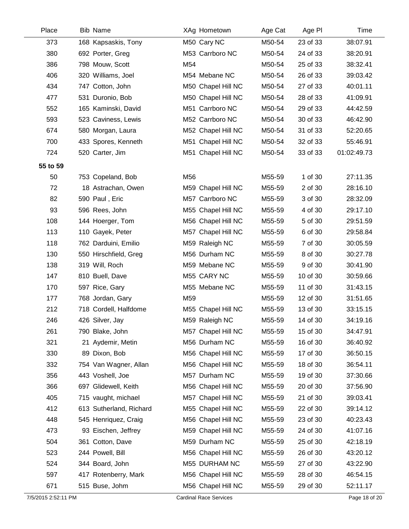| Place    | <b>Bib Name</b>         | XAg Hometown       | Age Cat | Age PI   | Time        |
|----------|-------------------------|--------------------|---------|----------|-------------|
| 373      | 168 Kapsaskis, Tony     | M50 Cary NC        | M50-54  | 23 of 33 | 38:07.91    |
| 380      | 692 Porter, Greg        | M53 Carrboro NC    | M50-54  | 24 of 33 | 38:20.91    |
| 386      | 798 Mouw, Scott         | M54                | M50-54  | 25 of 33 | 38:32.41    |
| 406      | 320 Williams, Joel      | M54 Mebane NC      | M50-54  | 26 of 33 | 39:03.42    |
| 434      | 747 Cotton, John        | M50 Chapel Hill NC | M50-54  | 27 of 33 | 40:01.11    |
| 477      | 531 Duronio, Bob        | M50 Chapel Hill NC | M50-54  | 28 of 33 | 41:09.91    |
| 552      | 165 Kaminski, David     | M51 Carrboro NC    | M50-54  | 29 of 33 | 44:42.59    |
| 593      | 523 Caviness, Lewis     | M52 Carrboro NC    | M50-54  | 30 of 33 | 46:42.90    |
| 674      | 580 Morgan, Laura       | M52 Chapel Hill NC | M50-54  | 31 of 33 | 52:20.65    |
| 700      | 433 Spores, Kenneth     | M51 Chapel Hill NC | M50-54  | 32 of 33 | 55:46.91    |
| 724      | 520 Carter, Jim         | M51 Chapel Hill NC | M50-54  | 33 of 33 | 01:02:49.73 |
| 55 to 59 |                         |                    |         |          |             |
| 50       | 753 Copeland, Bob       | M56                | M55-59  | 1 of 30  | 27:11.35    |
| 72       | 18 Astrachan, Owen      | M59 Chapel Hill NC | M55-59  | 2 of 30  | 28:16.10    |
| 82       | 590 Paul, Eric          | M57 Carrboro NC    | M55-59  | 3 of 30  | 28:32.09    |
| 93       | 596 Rees, John          | M55 Chapel Hill NC | M55-59  | 4 of 30  | 29:17.10    |
| 108      | 144 Hoerger, Tom        | M56 Chapel Hill NC | M55-59  | 5 of 30  | 29:51.59    |
| 113      | 110 Gayek, Peter        | M57 Chapel Hill NC | M55-59  | 6 of 30  | 29:58.84    |
| 118      | 762 Darduini, Emilio    | M59 Raleigh NC     | M55-59  | 7 of 30  | 30:05.59    |
| 130      | 550 Hirschfield, Greg   | M56 Durham NC      | M55-59  | 8 of 30  | 30:27.78    |
| 138      | 319 Will, Roch          | M59 Mebane NC      | M55-59  | 9 of 30  | 30:41.90    |
| 147      | 810 Buell, Dave         | M55 CARY NC        | M55-59  | 10 of 30 | 30:59.66    |
| 170      | 597 Rice, Gary          | M55 Mebane NC      | M55-59  | 11 of 30 | 31:43.15    |
| 177      | 768 Jordan, Gary        | M59                | M55-59  | 12 of 30 | 31:51.65    |
| 212      | 718 Cordell, Halfdome   | M55 Chapel Hill NC | M55-59  | 13 of 30 | 33:15.15    |
| 246      | 426 Silver, Jay         | M59 Raleigh NC     | M55-59  | 14 of 30 | 34:19.16    |
| 261      | 790 Blake, John         | M57 Chapel Hill NC | M55-59  | 15 of 30 | 34:47.91    |
| 321      | 21 Aydemir, Metin       | M56 Durham NC      | M55-59  | 16 of 30 | 36:40.92    |
| 330      | 89 Dixon, Bob           | M56 Chapel Hill NC | M55-59  | 17 of 30 | 36:50.15    |
| 332      | 754 Van Wagner, Allan   | M56 Chapel Hill NC | M55-59  | 18 of 30 | 36:54.11    |
| 356      | 443 Voshell, Joe        | M57 Durham NC      | M55-59  | 19 of 30 | 37:30.66    |
| 366      | 697 Glidewell, Keith    | M56 Chapel Hill NC | M55-59  | 20 of 30 | 37:56.90    |
| 405      | 715 vaught, michael     | M57 Chapel Hill NC | M55-59  | 21 of 30 | 39:03.41    |
| 412      | 613 Sutherland, Richard | M55 Chapel Hill NC | M55-59  | 22 of 30 | 39:14.12    |
| 448      | 545 Henriquez, Craig    | M56 Chapel Hill NC | M55-59  | 23 of 30 | 40:23.43    |
| 473      | 93 Eischen, Jeffrey     | M59 Chapel Hill NC | M55-59  | 24 of 30 | 41:07.16    |
| 504      | 361 Cotton, Dave        | M59 Durham NC      | M55-59  | 25 of 30 | 42:18.19    |
| 523      | 244 Powell, Bill        | M56 Chapel Hill NC | M55-59  | 26 of 30 | 43:20.12    |
| 524      | 344 Board, John         | M55 DURHAM NC      | M55-59  | 27 of 30 | 43:22.90    |
| 597      | 417 Rotenberry, Mark    | M56 Chapel Hill NC | M55-59  | 28 of 30 | 46:54.15    |
| 671      | 515 Buse, Johm          | M56 Chapel Hill NC | M55-59  | 29 of 30 | 52:11.17    |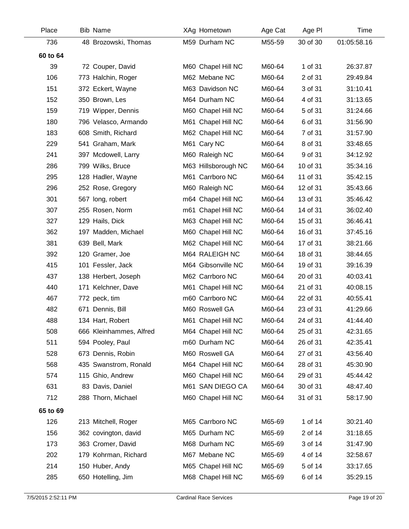| Place    | <b>Bib Name</b>      |                         | XAg Hometown        | Age Cat | Age PI   | Time        |
|----------|----------------------|-------------------------|---------------------|---------|----------|-------------|
| 736      |                      | 48 Brozowski, Thomas    | M59 Durham NC       | M55-59  | 30 of 30 | 01:05:58.16 |
| 60 to 64 |                      |                         |                     |         |          |             |
| 39       | 72 Couper, David     |                         | M60 Chapel Hill NC  | M60-64  | 1 of 31  | 26:37.87    |
| 106      | 773 Halchin, Roger   |                         | M62 Mebane NC       | M60-64  | 2 of 31  | 29:49.84    |
| 151      | 372 Eckert, Wayne    |                         | M63 Davidson NC     | M60-64  | 3 of 31  | 31:10.41    |
| 152      | 350 Brown, Les       |                         | M64 Durham NC       | M60-64  | 4 of 31  | 31:13.65    |
| 159      | 719 Wipper, Dennis   |                         | M60 Chapel Hill NC  | M60-64  | 5 of 31  | 31:24.66    |
| 180      |                      | 796 Velasco, Armando    | M61 Chapel Hill NC  | M60-64  | 6 of 31  | 31:56.90    |
| 183      | 608 Smith, Richard   |                         | M62 Chapel Hill NC  | M60-64  | 7 of 31  | 31:57.90    |
| 229      | 541 Graham, Mark     |                         | M61 Cary NC         | M60-64  | 8 of 31  | 33:48.65    |
| 241      | 397 Mcdowell, Larry  |                         | M60 Raleigh NC      | M60-64  | 9 of 31  | 34:12.92    |
| 286      | 799 Wilks, Bruce     |                         | M63 Hillsborough NC | M60-64  | 10 of 31 | 35:34.16    |
| 295      | 128 Hadler, Wayne    |                         | M61 Carrboro NC     | M60-64  | 11 of 31 | 35:42.15    |
| 296      | 252 Rose, Gregory    |                         | M60 Raleigh NC      | M60-64  | 12 of 31 | 35:43.66    |
| 301      | 567 long, robert     |                         | m64 Chapel Hill NC  | M60-64  | 13 of 31 | 35:46.42    |
| 307      | 255 Rosen, Norm      |                         | m61 Chapel Hill NC  | M60-64  | 14 of 31 | 36:02.40    |
| 327      | 129 Hails, Dick      |                         | M63 Chapel Hill NC  | M60-64  | 15 of 31 | 36:46.41    |
| 362      |                      | 197 Madden, Michael     | M60 Chapel Hill NC  | M60-64  | 16 of 31 | 37:45.16    |
| 381      | 639 Bell, Mark       |                         | M62 Chapel Hill NC  | M60-64  | 17 of 31 | 38:21.66    |
| 392      | 120 Gramer, Joe      |                         | M64 RALEIGH NC      | M60-64  | 18 of 31 | 38:44.65    |
| 415      | 101 Fessler, Jack    |                         | M64 Gibsonville NC  | M60-64  | 19 of 31 | 39:16.39    |
| 437      | 138 Herbert, Joseph  |                         | M62 Carrboro NC     | M60-64  | 20 of 31 | 40:03.41    |
| 440      | 171 Kelchner, Dave   |                         | M61 Chapel Hill NC  | M60-64  | 21 of 31 | 40:08.15    |
| 467      | 772 peck, tim        |                         | m60 Carrboro NC     | M60-64  | 22 of 31 | 40:55.41    |
| 482      | 671 Dennis, Bill     |                         | M60 Roswell GA      | M60-64  | 23 of 31 | 41:29.66    |
| 488      | 134 Hart, Robert     |                         | M61 Chapel Hill NC  | M60-64  | 24 of 31 | 41:44.40    |
| 508      |                      | 666 Kleinhammes, Alfred | M64 Chapel Hill NC  | M60-64  | 25 of 31 | 42:31.65    |
| 511      | 594 Pooley, Paul     |                         | m60 Durham NC       | M60-64  | 26 of 31 | 42:35.41    |
| 528      | 673 Dennis, Robin    |                         | M60 Roswell GA      | M60-64  | 27 of 31 | 43:56.40    |
| 568      |                      | 435 Swanstrom, Ronald   | M64 Chapel Hill NC  | M60-64  | 28 of 31 | 45:30.90    |
| 574      | 115 Ghio, Andrew     |                         | M60 Chapel Hill NC  | M60-64  | 29 of 31 | 45:44.42    |
| 631      | 83 Davis, Daniel     |                         | M61 SAN DIEGO CA    | M60-64  | 30 of 31 | 48:47.40    |
| 712      | 288 Thorn, Michael   |                         | M60 Chapel Hill NC  | M60-64  | 31 of 31 | 58:17.90    |
| 65 to 69 |                      |                         |                     |         |          |             |
| 126      | 213 Mitchell, Roger  |                         | M65 Carrboro NC     | M65-69  | 1 of 14  | 30:21.40    |
| 156      | 362 covington, david |                         | M65 Durham NC       | M65-69  | 2 of 14  | 31:18.65    |
| 173      | 363 Cromer, David    |                         | M68 Durham NC       | M65-69  | 3 of 14  | 31:47.90    |
| 202      |                      | 179 Kohrman, Richard    | M67 Mebane NC       | M65-69  | 4 of 14  | 32:58.67    |
| 214      | 150 Huber, Andy      |                         | M65 Chapel Hill NC  | M65-69  | 5 of 14  | 33:17.65    |
| 285      | 650 Hotelling, Jim   |                         | M68 Chapel Hill NC  | M65-69  | 6 of 14  | 35:29.15    |